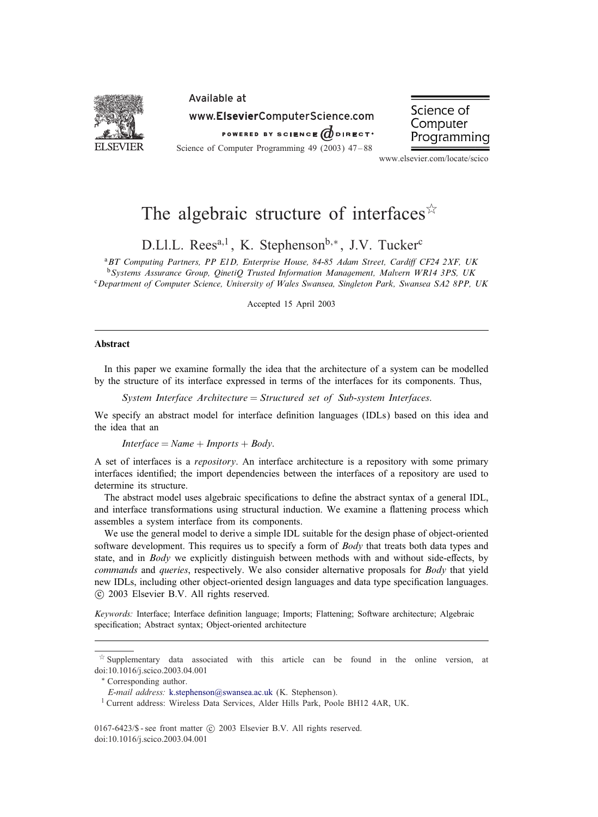

# Available at www.ElsevierComputerScience.com

POWERED BY SCIENCE  $\vec{a}$  direct.

Science of Computer Programming 49 (2003) 47–88

Science of Computer Programming

www.elsevier.com/locate/scico

# The algebraic structure of interfaces  $\overline{x}$

D.Ll.L. Rees<sup>a,1</sup>, K. Stephenson<sup>b,∗</sup>, J.V. Tucker<sup>c</sup>

<sup>a</sup> BT Computing Partners, PP E1D, Enterprise House, 84-85 Adam Street, Cardiff CF24 2XF, UK <sup>b</sup>*Systems Assurance Group, QinetiQ Trusted Information Management, Malvern WR14 3PS, UK* <sup>c</sup>*Department of Computer Science, University of Wales Swansea, Singleton Park, Swansea SA2 8PP, UK*

Accepted 15 April 2003

### Abstract

In this paper we examine formally the idea that the architecture of a system can be modelled by the structure of its interface expressed in terms of the interfaces for its components. Thus,

*System Interface Architecture* = *Structured set of Sub*-*system Interfaces*:

We specify an abstract model for interface definition languages (IDLs) based on this idea and the idea that an

 $Interface = Name + Imports + Body.$ 

A set of interfaces is a *repository*. An interface architecture is a repository with some primary interfaces identified; the import dependencies between the interfaces of a repository are used to determine its structure.

The abstract model uses algebraic specifications to define the abstract syntax of a general IDL, and interface transformations using structural induction. We examine a flattening process which assembles a system interface from its components.

We use the general model to derive a simple IDL suitable for the design phase of object-oriented software development. This requires us to specify a form of *Body* that treats both data types and state, and in *Body* we explicitly distinguish between methods with and without side-effects, by *commands* and *queries*, respectively. We also consider alternative proposals for *Body* that yield new IDLs, including other object-oriented design languages and data type specification languages. -c 2003 Elsevier B.V. All rights reserved.

*Keywords:* Interface; Interface definition language; Imports; Flattening; Software architecture; Algebraic specification; Abstract syntax; Object-oriented architecture

 $0167-6423$ /\$ - see front matter  $\odot$  2003 Elsevier B.V. All rights reserved. doi:10.1016/j.scico.2003.04.001

 $\dot{\gamma}$  Supplementary data associated with this article can be found in the online version, at doi:10.1016/j.scico.2003.04.001

<sup>∗</sup> Corresponding author.

*E-mail address:* [k.stephenson@swansea.ac.uk](mailto:k.stephenson@swansea.ac.uk) (K. Stephenson).

<sup>&</sup>lt;sup>1</sup> Current address: Wireless Data Services, Alder Hills Park, Poole BH12 4AR, UK.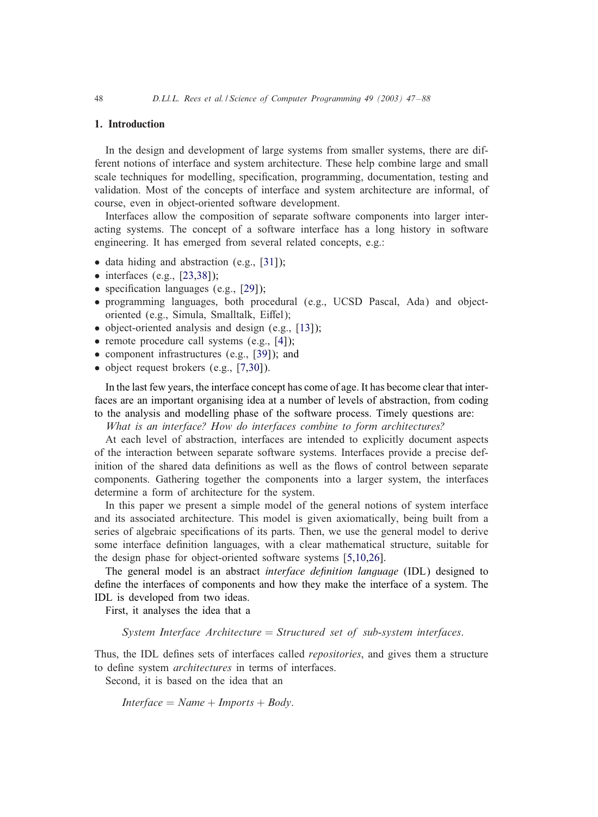### 1. Introduction

In the design and development of large systems from smaller systems, there are different notions of interface and system architecture. These help combine large and small scale techniques for modelling, specification, programming, documentation, testing and validation. Most of the concepts of interface and system architecture are informal, of course, even in object-oriented software development.

Interfaces allow the composition of separate software components into larger interacting systems. The concept of a software interface has a long history in software engineering. It has emerged from several related concepts, e.g.:

- data hiding and abstraction (e.g., [\[31\]](#page-41-0));
- $\bullet$  interfaces (e.g., [\[23](#page-40-0)[,38\]](#page-41-0));
- specification languages (e.g.,  $[29]$ );
- programming languages, both procedural (e.g., UCSD Pascal, Ada) and objectoriented (e.g., Simula, Smalltalk, Eiffel);
- object-oriented analysis and design (e.g., [\[13\]](#page-40-0));
- remote procedure call systems (e.g., [\[4\]](#page-40-0));
- component infrastructures (e.g., [\[39\]](#page-41-0)); and
- object request brokers (e.g., [\[7](#page-40-0)[,30\]](#page-41-0)).

In the last few years, the interface concept has come of age. It has become clear that interfaces are an important organising idea at a number of levels of abstraction, from coding to the analysis and modelling phase of the software process. Timely questions are:

*What is an interface? How do interfaces combine to form architectures?*

At each level of abstraction, interfaces are intended to explicitly document aspects of the interaction between separate software systems. Interfaces provide a precise definition of the shared data definitions as well as the flows of control between separate components. Gathering together the components into a larger system, the interfaces determine a form of architecture for the system.

In this paper we present a simple model of the general notions of system interface and its associated architecture. This model is given axiomatically, being built from a series of algebraic specifications of its parts. Then, we use the general model to derive some interface definition languages, with a clear mathematical structure, suitable for the design phase for object-oriented software systems [\[5,10,](#page-40-0)[26\]](#page-41-0).

The general model is an abstract *interface definition language* (IDL) designed to define the interfaces of components and how they make the interface of a system. The IDL is developed from two ideas.

First, it analyses the idea that a

*System Interface Architecture* = *Structured set of sub*-*system interfaces*:

Thus, the IDL defines sets of interfaces called *repositories*, and gives them a structure to define system *architectures* in terms of interfaces.

Second, it is based on the idea that an

 $Interface = Name + Imports + Body.$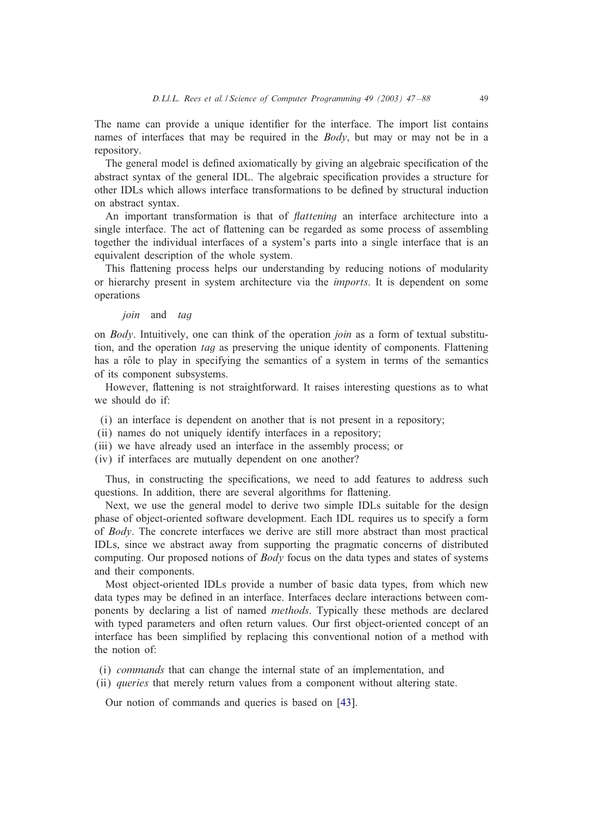The name can provide a unique identifier for the interface. The import list contains names of interfaces that may be required in the *Body*, but may or may not be in a repository.

The general model is defined axiomatically by giving an algebraic specification of the abstract syntax of the general IDL. The algebraic specification provides a structure for other IDLs which allows interface transformations to be de6ned by structural induction on abstract syntax.

An important transformation is that of *Aattening* an interface architecture into a single interface. The act of flattening can be regarded as some process of assembling together the individual interfaces of a system's parts into a single interface that is an equivalent description of the whole system.

This flattening process helps our understanding by reducing notions of modularity or hierarchy present in system architecture via the *imports*. It is dependent on some operations

### join and tag

on *Body*. Intuitively, one can think of the operation *join* as a form of textual substitution, and the operation *tag* as preserving the unique identity of components. Flattening has a rôle to play in specifying the semantics of a system in terms of the semantics of its component subsystems.

However, flattening is not straightforward. It raises interesting questions as to what we should do if:

- (i) an interface is dependent on another that is not present in a repository;
- (ii) names do not uniquely identify interfaces in a repository;
- (iii) we have already used an interface in the assembly process; or
- (iv) if interfaces are mutually dependent on one another?

Thus, in constructing the specifications, we need to add features to address such questions. In addition, there are several algorithms for flattening.

Next, we use the general model to derive two simple IDLs suitable for the design phase of object-oriented software development. Each IDL requires us to specify a form of *Body*. The concrete interfaces we derive are still more abstract than most practical IDLs, since we abstract away from supporting the pragmatic concerns of distributed computing. Our proposed notions of *Body* focus on the data types and states of systems and their components.

Most object-oriented IDLs provide a number of basic data types, from which new data types may be defined in an interface. Interfaces declare interactions between components by declaring a list of named *methods*. Typically these methods are declared with typed parameters and often return values. Our first object-oriented concept of an interface has been simplified by replacing this conventional notion of a method with the notion of:

- (i) *commands* that can change the internal state of an implementation, and
- (ii) *queries* that merely return values from a component without altering state.

Our notion of commands and queries is based on [\[43\]](#page-41-0).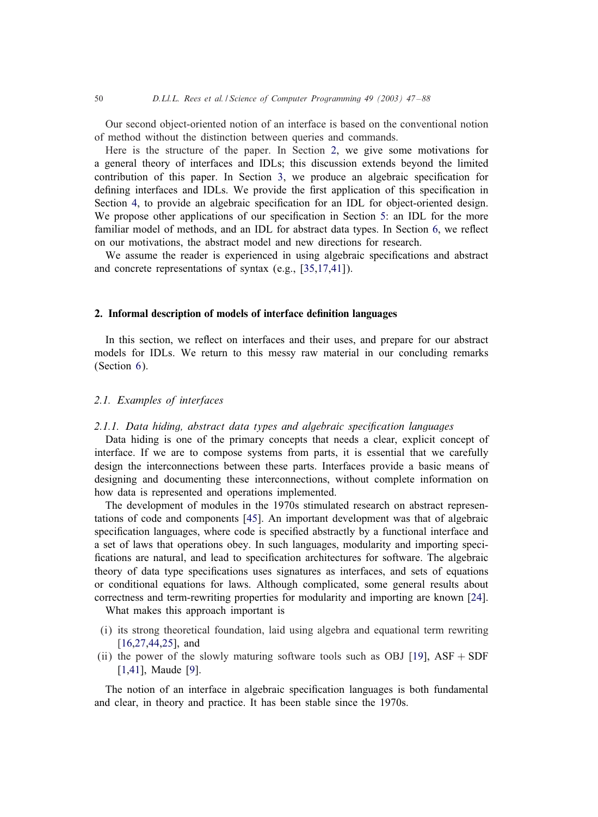<span id="page-3-0"></span>Our second object-oriented notion of an interface is based on the conventional notion of method without the distinction between queries and commands.

Here is the structure of the paper. In Section 2, we give some motivations for a general theory of interfaces and IDLs; this discussion extends beyond the limited contribution of this paper. In Section [3,](#page-8-0) we produce an algebraic specification for defining interfaces and IDLs. We provide the first application of this specification in Section [4,](#page-25-0) to provide an algebraic specification for an IDL for object-oriented design. We propose other applications of our specification in Section [5:](#page-32-0) an IDL for the more familiar model of methods, and an IDL for abstract data types. In Section [6,](#page-37-0) we reflect on our motivations, the abstract model and new directions for research.

We assume the reader is experienced in using algebraic specifications and abstract and concrete representations of syntax (e.g., [\[35,](#page-41-0)[17](#page-40-0)[,41\]](#page-41-0)).

### 2. Informal description of models of interface definition languages

In this section, we reflect on interfaces and their uses, and prepare for our abstract models for IDLs. We return to this messy raw material in our concluding remarks (Section [6\)](#page-37-0).

### *2.1. Examples of interfaces*

### 2.1.1. Data hiding, abstract data types and algebraic specification languages

Data hiding is one of the primary concepts that needs a clear, explicit concept of interface. If we are to compose systems from parts, it is essential that we carefully design the interconnections between these parts. Interfaces provide a basic means of designing and documenting these interconnections, without complete information on how data is represented and operations implemented.

The development of modules in the 1970s stimulated research on abstract representations of code and components [\[45\]](#page-41-0). An important development was that of algebraic specification languages, where code is specified abstractly by a functional interface and a set of laws that operations obey. In such languages, modularity and importing specifications are natural, and lead to specification architectures for software. The algebraic theory of data type specifications uses signatures as interfaces, and sets of equations or conditional equations for laws. Although complicated, some general results about correctness and term-rewriting properties for modularity and importing are known [\[24\]](#page-40-0).

What makes this approach important is

- (i) its strong theoretical foundation, laid using algebra and equational term rewriting [\[16](#page-40-0)[,27,44,25\]](#page-41-0), and
- (ii) the power of the slowly maturing software tools such as OBJ [\[19\]](#page-40-0),  $ASF + SDF$ [\[1](#page-40-0)[,41\]](#page-41-0), Maude [\[9\]](#page-40-0).

The notion of an interface in algebraic specification languages is both fundamental and clear, in theory and practice. It has been stable since the 1970s.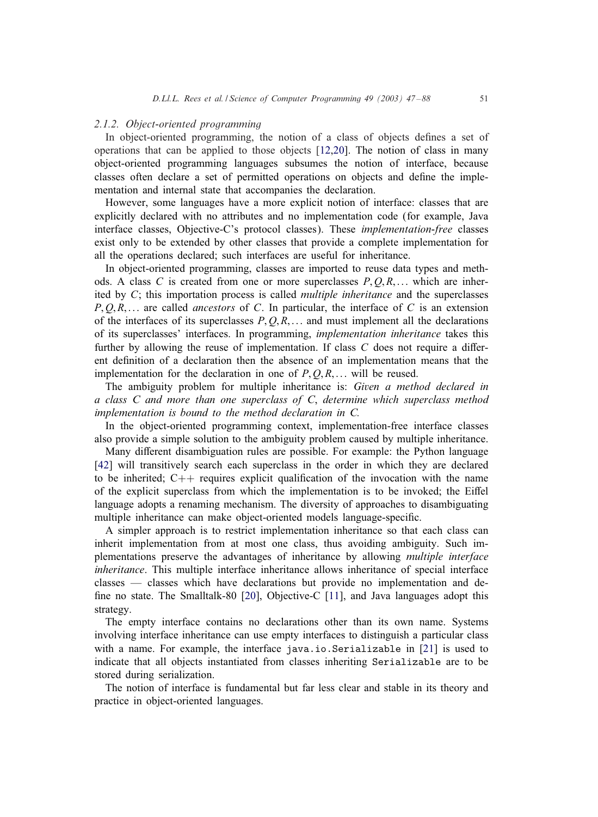### *2.1.2. Object-oriented programming*

In object-oriented programming, the notion of a class of objects defines a set of operations that can be applied to those objects [\[12,20\]](#page-40-0). The notion of class in many object-oriented programming languages subsumes the notion of interface, because classes often declare a set of permitted operations on objects and define the implementation and internal state that accompanies the declaration.

However, some languages have a more explicit notion of interface: classes that are explicitly declared with no attributes and no implementation code (for example, Java interface classes, Objective-C's protocol classes). These *implementation-free* classes exist only to be extended by other classes that provide a complete implementation for all the operations declared; such interfaces are useful for inheritance.

In object-oriented programming, classes are imported to reuse data types and methods. A class C is created from one or more superclasses  $P, Q, R, \ldots$  which are inherited by C; this importation process is called *multiple inheritance* and the superclasses P, O, R,... are called *ancestors* of C. In particular, the interface of C is an extension of the interfaces of its superclasses  $P, Q, R, \ldots$  and must implement all the declarations of its superclasses' interfaces. In programming, *implementation inheritance* takes this further by allowing the reuse of implementation. If class  $C$  does not require a different de6nition of a declaration then the absence of an implementation means that the implementation for the declaration in one of  $P, O, R, \ldots$  will be reused.

The ambiguity problem for multiple inheritance is: *Given a method declared in a class C and more than one superclass of C*, *determine which superclass method implementation is bound to the method declaration in C.*

In the object-oriented programming context, implementation-free interface classes also provide a simple solution to the ambiguity problem caused by multiple inheritance.

Many different disambiguation rules are possible. For example: the Python language [\[42\]](#page-41-0) will transitively search each superclass in the order in which they are declared to be inherited;  $C_{++}$  requires explicit qualification of the invocation with the name of the explicit superclass from which the implementation is to be invoked; the Eiffel language adopts a renaming mechanism. The diversity of approaches to disambiguating multiple inheritance can make object-oriented models language-specific.

A simpler approach is to restrict implementation inheritance so that each class can inherit implementation from at most one class, thus avoiding ambiguity. Such implementations preserve the advantages of inheritance by allowing *multiple interface inheritance*. This multiple interface inheritance allows inheritance of special interface classes — classes which have declarations but provide no implementation and de-fine no state. The Smalltalk-80 [\[20\]](#page-40-0), Objective-C  $[11]$ , and Java languages adopt this strategy.

The empty interface contains no declarations other than its own name. Systems involving interface inheritance can use empty interfaces to distinguish a particular class with a name. For example, the interface java.io.Serializable in [\[21\]](#page-40-0) is used to indicate that all objects instantiated from classes inheriting Serializable are to be stored during serialization.

The notion of interface is fundamental but far less clear and stable in its theory and practice in object-oriented languages.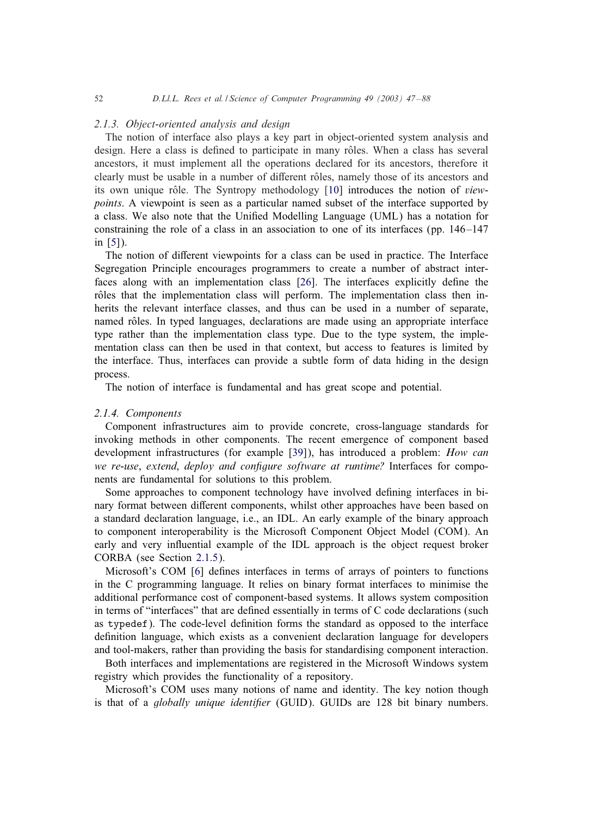### *2.1.3. Object-oriented analysis and design*

The notion of interface also plays a key part in object-oriented system analysis and design. Here a class is defined to participate in many rôles. When a class has several ancestors, it must implement all the operations declared for its ancestors, therefore it clearly must be usable in a number of different rôles, namely those of its ancestors and its own unique rôle. The Syntropy methodology [\[10\]](#page-40-0) introduces the notion of *viewpoints*. A viewpoint is seen as a particular named subset of the interface supported by a class. We also note that the Unified Modelling Language (UML) has a notation for constraining the role of a class in an association to one of its interfaces (pp.  $146-147$ ) in [\[5\]](#page-40-0)).

The notion of different viewpoints for a class can be used in practice. The Interface Segregation Principle encourages programmers to create a number of abstract inter-faces along with an implementation class [\[26\]](#page-41-0). The interfaces explicitly define the rôles that the implementation class will perform. The implementation class then inherits the relevant interface classes, and thus can be used in a number of separate, named rôles. In typed languages, declarations are made using an appropriate interface type rather than the implementation class type. Due to the type system, the implementation class can then be used in that context, but access to features is limited by the interface. Thus, interfaces can provide a subtle form of data hiding in the design process.

The notion of interface is fundamental and has great scope and potential.

# *2.1.4. Components*

Component infrastructures aim to provide concrete, cross-language standards for invoking methods in other components. The recent emergence of component based development infrastructures (for example [\[39\]](#page-41-0)), has introduced a problem: *How can we re-use, extend, deploy and configure software at runtime?* Interfaces for components are fundamental for solutions to this problem.

Some approaches to component technology have involved defining interfaces in binary format between different components, whilst other approaches have been based on a standard declaration language, i.e., an IDL. An early example of the binary approach to component interoperability is the Microsoft Component Object Model (COM). An early and very influential example of the IDL approach is the object request broker CORBA (see Section [2.1.5\)](#page-6-0).

Microsoft's COM [\[6\]](#page-40-0) defines interfaces in terms of arrays of pointers to functions in the C programming language. It relies on binary format interfaces to minimise the additional performance cost of component-based systems. It allows system composition in terms of "interfaces" that are defined essentially in terms of  $C$  code declarations (such as typedef). The code-level definition forms the standard as opposed to the interface definition language, which exists as a convenient declaration language for developers and tool-makers, rather than providing the basis for standardising component interaction.

Both interfaces and implementations are registered in the Microsoft Windows system registry which provides the functionality of a repository.

Microsoft's COM uses many notions of name and identity. The key notion though is that of a *globally unique identifier* (GUID). GUIDs are 128 bit binary numbers.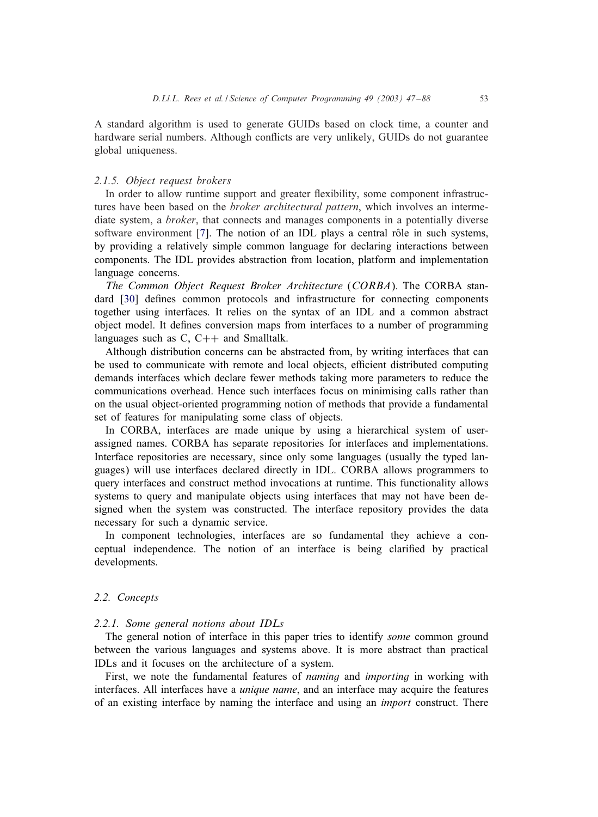<span id="page-6-0"></span>A standard algorithm is used to generate GUIDs based on clock time, a counter and hardware serial numbers. Although conflicts are very unlikely, GUIDs do not guarantee global uniqueness.

### *2.1.5. Object request brokers*

In order to allow runtime support and greater flexibility, some component infrastructures have been based on the *broker architectural pattern*, which involves an intermediate system, a *broker*, that connects and manages components in a potentially diverse software environment  $[7]$ . The notion of an IDL plays a central rôle in such systems, by providing a relatively simple common language for declaring interactions between components. The IDL provides abstraction from location, platform and implementation language concerns.

*The Common Object Request Broker Architecture* (*CORBA*). The CORBA stan-dard [\[30\]](#page-41-0) defines common protocols and infrastructure for connecting components together using interfaces. It relies on the syntax of an IDL and a common abstract object model. It defines conversion maps from interfaces to a number of programming languages such as  $C$ ,  $C++$  and Smalltalk.

Although distribution concerns can be abstracted from, by writing interfaces that can be used to communicate with remote and local objects, efficient distributed computing demands interfaces which declare fewer methods taking more parameters to reduce the communications overhead. Hence such interfaces focus on minimising calls rather than on the usual object-oriented programming notion of methods that provide a fundamental set of features for manipulating some class of objects.

In CORBA, interfaces are made unique by using a hierarchical system of userassigned names. CORBA has separate repositories for interfaces and implementations. Interface repositories are necessary, since only some languages (usually the typed languages) will use interfaces declared directly in IDL. CORBA allows programmers to query interfaces and construct method invocations at runtime. This functionality allows systems to query and manipulate objects using interfaces that may not have been designed when the system was constructed. The interface repository provides the data necessary for such a dynamic service.

In component technologies, interfaces are so fundamental they achieve a conceptual independence. The notion of an interface is being clarified by practical developments.

# *2.2. Concepts*

### *2.2.1. Some general notions about IDLs*

The general notion of interface in this paper tries to identify *some* common ground between the various languages and systems above. It is more abstract than practical IDLs and it focuses on the architecture of a system.

First, we note the fundamental features of *naming* and *importing* in working with interfaces. All interfaces have a *unique name*, and an interface may acquire the features of an existing interface by naming the interface and using an *import* construct. There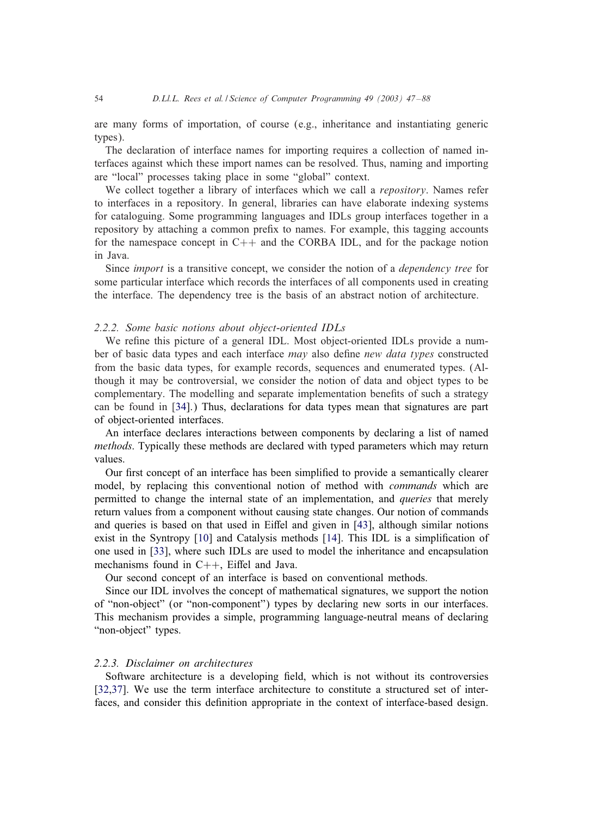are many forms of importation, of course (e.g., inheritance and instantiating generic types).

The declaration of interface names for importing requires a collection of named interfaces against which these import names can be resolved. Thus, naming and importing are "local" processes taking place in some "global" context.

We collect together a library of interfaces which we call a *repository*. Names refer to interfaces in a repository. In general, libraries can have elaborate indexing systems for cataloguing. Some programming languages and IDLs group interfaces together in a repository by attaching a common prefix to names. For example, this tagging accounts for the namespace concept in  $C++$  and the CORBA IDL, and for the package notion in Java.

Since *import* is a transitive concept, we consider the notion of a *dependency tree* for some particular interface which records the interfaces of all components used in creating the interface. The dependency tree is the basis of an abstract notion of architecture.

### *2.2.2. Some basic notions about object-oriented IDLs*

We refine this picture of a general IDL. Most object-oriented IDLs provide a number of basic data types and each interface *may* also define *new data types* constructed from the basic data types, for example records, sequences and enumerated types. (Although it may be controversial, we consider the notion of data and object types to be complementary. The modelling and separate implementation benefits of such a strategy can be found in [\[34\]](#page-41-0).) Thus, declarations for data types mean that signatures are part of object-oriented interfaces.

An interface declares interactions between components by declaring a list of named *methods*. Typically these methods are declared with typed parameters which may return values.

Our first concept of an interface has been simplified to provide a semantically clearer model, by replacing this conventional notion of method with *commands* which are permitted to change the internal state of an implementation, and *queries* that merely return values from a component without causing state changes. Our notion of commands and queries is based on that used in Eiffel and given in  $[43]$ , although similar notions exist in the Syntropy [\[10\]](#page-40-0) and Catalysis methods [\[14\]](#page-40-0). This IDL is a simplification of one used in [\[33\]](#page-41-0), where such IDLs are used to model the inheritance and encapsulation mechanisms found in  $C++$ , Eiffel and Java.

Our second concept of an interface is based on conventional methods.

Since our IDL involves the concept of mathematical signatures, we support the notion of "non-object" (or "non-component") types by declaring new sorts in our interfaces. This mechanism provides a simple, programming language-neutral means of declaring "non-object" types.

# *2.2.3. Disclaimer on architectures*

Software architecture is a developing 6eld, which is not without its controversies [\[32,37\]](#page-41-0). We use the term interface architecture to constitute a structured set of interfaces, and consider this definition appropriate in the context of interface-based design.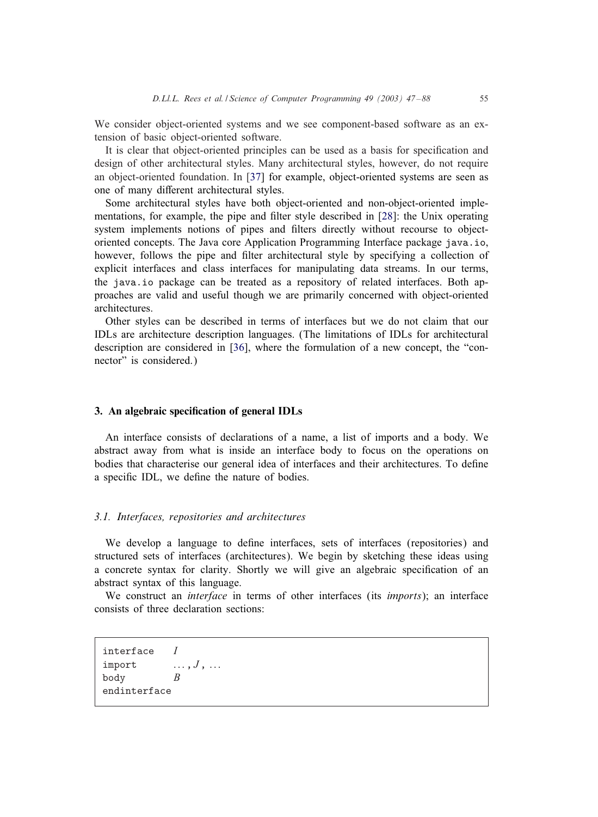<span id="page-8-0"></span>We consider object-oriented systems and we see component-based software as an extension of basic object-oriented software.

It is clear that object-oriented principles can be used as a basis for specification and design of other architectural styles. Many architectural styles, however, do not require an object-oriented foundation. In [\[37\]](#page-41-0) for example, object-oriented systems are seen as one of many different architectural styles.

Some architectural styles have both object-oriented and non-object-oriented imple-mentations, for example, the pipe and filter style described in [\[28\]](#page-41-0): the Unix operating system implements notions of pipes and filters directly without recourse to objectoriented concepts. The Java core Application Programming Interface package java.io, however, follows the pipe and filter architectural style by specifying a collection of explicit interfaces and class interfaces for manipulating data streams. In our terms, the java.io package can be treated as a repository of related interfaces. Both approaches are valid and useful though we are primarily concerned with object-oriented architectures.

Other styles can be described in terms of interfaces but we do not claim that our IDLs are architecture description languages. (The limitations of IDLs for architectural description are considered in [\[36\]](#page-41-0), where the formulation of a new concept, the "connector" is considered.)

# 3. An algebraic specification of general IDLs

An interface consists of declarations of a name, a list of imports and a body. We abstract away from what is inside an interface body to focus on the operations on bodies that characterise our general idea of interfaces and their architectures. To define a specific IDL, we define the nature of bodies.

# *3.1. Interfaces, repositories and architectures*

We develop a language to define interfaces, sets of interfaces (repositories) and structured sets of interfaces (architectures). We begin by sketching these ideas using a concrete syntax for clarity. Shortly we will give an algebraic specification of an abstract syntax of this language.

We construct an *interface* in terms of other interfaces (its *imports*); an interface consists of three declaration sections:

interface I import  $\ldots, J, \ldots$ body B endinterface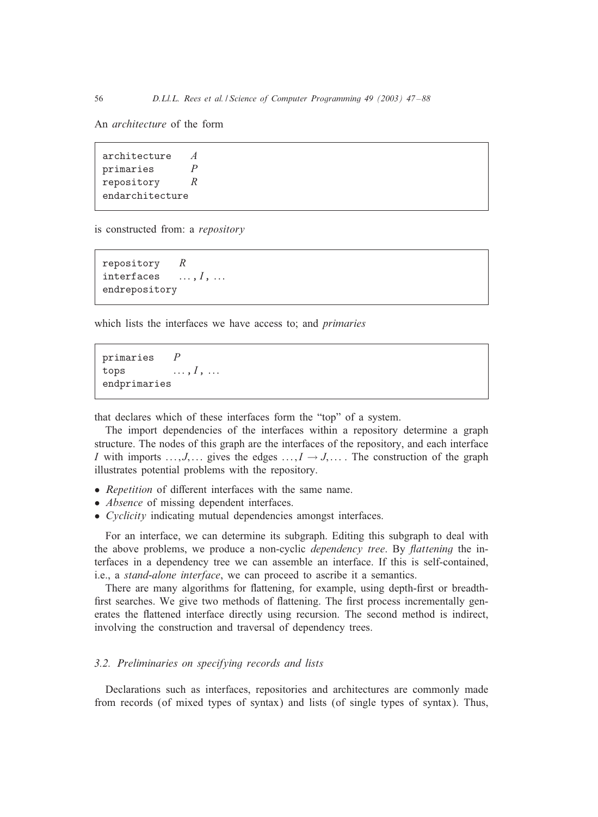An *architecture* of the form

architecture  $A$ primaries  $P$ repository R endarchitecture

is constructed from: a *repository*

repository R interfaces  $\ldots, I, \ldots$ endrepository

which lists the interfaces we have access to; and *primaries*

```
primaries Ptops \ldots, I, \ldotsendprimaries
```
that declares which of these interfaces form the "top" of a system.

The import dependencies of the interfaces within a repository determine a graph structure. The nodes of this graph are the interfaces of the repository, and each interface I with imports  $\dots, J, \dots$  gives the edges  $\dots, I \rightarrow J, \dots$ . The construction of the graph illustrates potential problems with the repository.

- *Repetition* of different interfaces with the same name.
- *Absence* of missing dependent interfaces.
- *Cyclicity* indicating mutual dependencies amongst interfaces.

For an interface, we can determine its subgraph. Editing this subgraph to deal with the above problems, we produce a non-cyclic *dependency tree*. By *Aattening* the interfaces in a dependency tree we can assemble an interface. If this is self-contained, i.e., a *stand-alone interface*, we can proceed to ascribe it a semantics.

There are many algorithms for flattening, for example, using depth-first or breadthfirst searches. We give two methods of flattening. The first process incrementally generates the flattened interface directly using recursion. The second method is indirect, involving the construction and traversal of dependency trees.

# *3.2. Preliminaries on specifying records and lists*

Declarations such as interfaces, repositories and architectures are commonly made from records (of mixed types of syntax) and lists (of single types of syntax). Thus,

<span id="page-9-0"></span>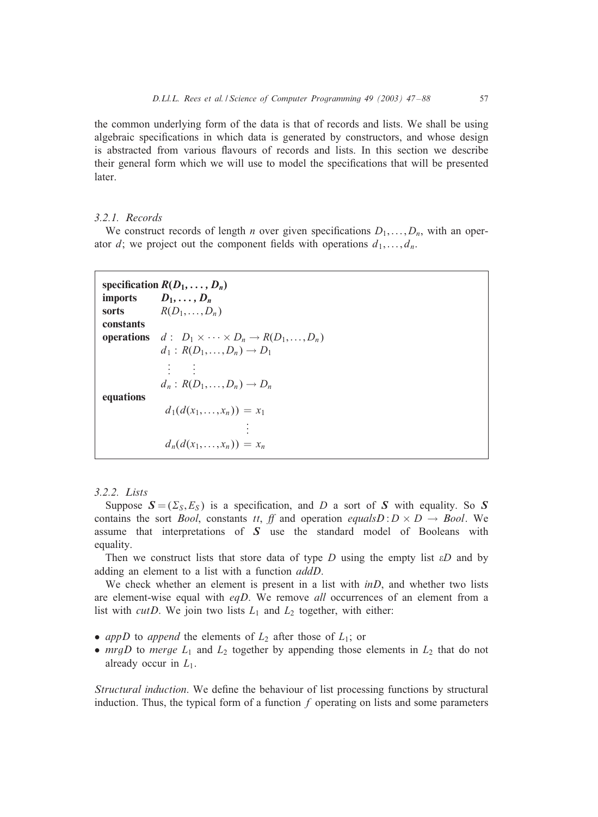<span id="page-10-0"></span>the common underlying form of the data is that of records and lists. We shall be using algebraic specifications in which data is generated by constructors, and whose design is abstracted from various flavours of records and lists. In this section we describe their general form which we will use to model the specifications that will be presented later.

### *3.2.1. Records*

We construct records of length *n* over given specifications  $D_1, \ldots, D_n$ , with an operator d; we project out the component fields with operations  $d_1, \ldots, d_n$ .

```
specification R(D_1, \ldots, D_n)imports D_1, \ldots, D_nsorts R(D_1,...,D_n)constants
operations d: D_1 \times \cdots \times D_n \rightarrow R(D_1,\ldots,D_n)d_1: R(D_1,\ldots,D_n)\rightarrow D_1.
                  .
                  \frac{1}{2} .
                         .
                         .
               d_n: R(D_1,\ldots,D_n)\to D_nequations
                 d_1(d(x_1,...,x_n)) = x_1.
.
.
                d_n(d(x_1,...,x_n)) = x_n
```
### *3.2.2. Lists*

Suppose  $S = (\Sigma_S, E_S)$  is a specification, and D a sort of S with equality. So S contains the sort *Bool*, constants *tt*, *ff* and operation *equalsD* :  $D \times D \rightarrow Bool$ . We assume that interpretations of *S* use the standard model of Booleans with equality.

Then we construct lists that store data of type  $D$  using the empty list  $\epsilon D$  and by adding an element to a list with a function *addD*.

We check whether an element is present in a list with *inD*, and whether two lists are element-wise equal with *eqD*. We remove *all* occurrences of an element from a list with *cutD*. We join two lists  $L_1$  and  $L_2$  together, with either:

- *appD* to *append* the elements of  $L_2$  after those of  $L_1$ ; or
- $mrgD$  to *merge*  $L_1$  and  $L_2$  together by appending those elements in  $L_2$  that do not already occur in  $L_1$ .

*Structural induction*. We define the behaviour of list processing functions by structural induction. Thus, the typical form of a function  $f$  operating on lists and some parameters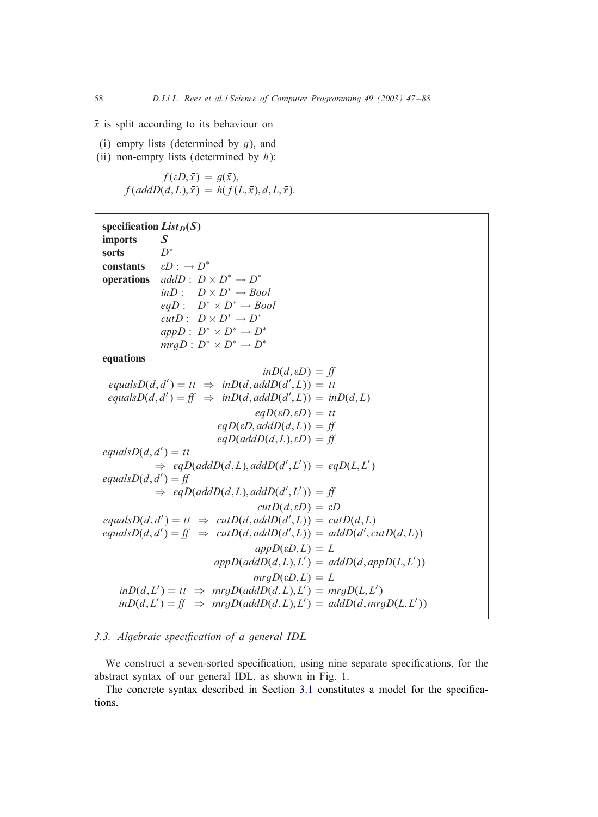$\bar{x}$  is split according to its behaviour on

- (i) empty lists (determined by  $q$ ), and
- (ii) non-empty lists (determined by  $h$ ):

 $f(\varepsilon D, \bar{x}) = g(\bar{x}),$  $f(\text{add}D(\tilde{d}, L), \tilde{x}) = h(f(L, \bar{x}), d, L, \bar{x}).$ 

| specification $List_D(S)$                       |                                                                                                              |
|-------------------------------------------------|--------------------------------------------------------------------------------------------------------------|
| <b>imports</b>                                  | $\mathcal{S}$                                                                                                |
| sorts                                           | $D^*$                                                                                                        |
| <b>constants</b> $\epsilon D : \rightarrow D^*$ |                                                                                                              |
|                                                 | <b>operations</b> $addD: D \times D^* \rightarrow D^*$                                                       |
|                                                 | $inD: D \times D^* \rightarrow Bool$                                                                         |
|                                                 | eq $D: D^* \times D^* \rightarrow Bool$                                                                      |
|                                                 | $cutD: D \times D^* \rightarrow D^*$                                                                         |
|                                                 | $appD: D^* \times D^* \rightarrow D^*$                                                                       |
|                                                 | $mrgD: D^* \times D^* \rightarrow D^*$                                                                       |
| equations                                       |                                                                                                              |
|                                                 | $inD(d, \varepsilon D) = ff$                                                                                 |
|                                                 | $equalsD(d, d') = tt \Rightarrow inD(d, addD(d', L)) = tt$                                                   |
|                                                 | $equalsD(d, d') = ff \Rightarrow inD(d, addD(d', L)) = inD(d, L)$                                            |
|                                                 | $eqD(\varepsilon D, \varepsilon D) = tt$                                                                     |
|                                                 | $eqD(\varepsilon D, addD(d,L)) = ff$                                                                         |
| $eqD(addD(d, L), \varepsilon D) = ff$           |                                                                                                              |
| equals $D(d, d') = tt$                          |                                                                                                              |
|                                                 | $\Rightarrow$ eqD(addD(d, L), addD(d', L')) = eqD(L, L')                                                     |
| equals $D(d, d') = ff$                          |                                                                                                              |
|                                                 | $\Rightarrow$ eqD(addD(d, L), addD(d', L')) = ff                                                             |
|                                                 | $cutD(d, \varepsilon D) = \varepsilon D$                                                                     |
|                                                 | $equalsD(d, d') = tt \Rightarrow cutD(d, addD(d', L)) = cutD(d, L)$                                          |
|                                                 | $equalsD(d, d') = ff \Rightarrow cutD(d, addD(d', L)) = addD(d', cutD(d, L))$                                |
|                                                 | $appD(\varepsilon D,L)=L$                                                                                    |
|                                                 | $appD(addD(d, L), L') = addD(d, appD(L, L'))$                                                                |
|                                                 | $mrgD(\varepsilon D,L)=L$                                                                                    |
|                                                 | $\text{in}D(d, L') = \text{tr} \Rightarrow \text{mrg}D(\text{add}D(d, L), L') = \text{mrg}D(L, L')$          |
|                                                 | $\text{in}D(d, L') = ff \Rightarrow \text{mrg}D(\text{add}D(d, L), L') = \text{add}D(d, \text{mrg}D(L, L'))$ |

# 3.3. Algebraic specification of a general IDL

We construct a seven-sorted specification, using nine separate specifications, for the abstract syntax of our general IDL, as shown in Fig. [1.](#page-12-0)

The concrete syntax described in Section [3.1](#page-8-0) constitutes a model for the specifications.

<span id="page-11-0"></span>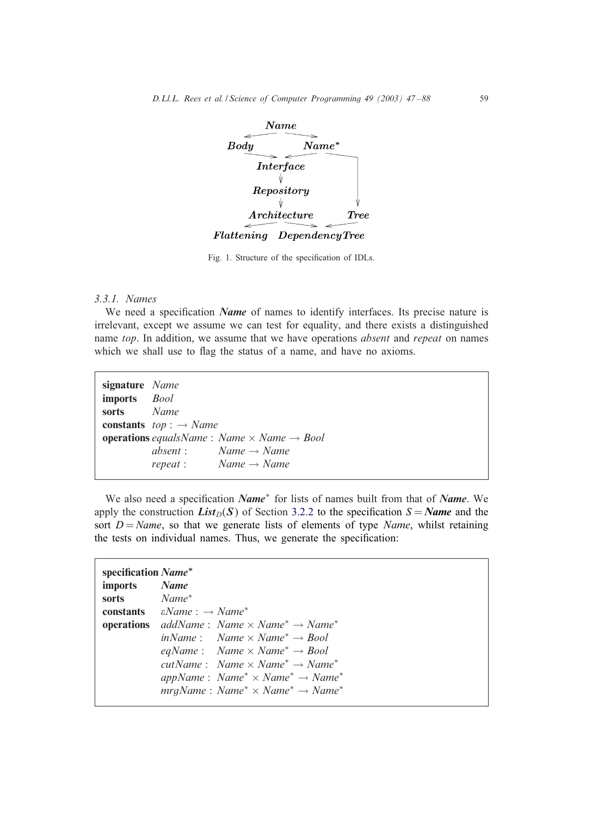<span id="page-12-0"></span>

Fig. 1. Structure of the specification of IDLs.

### *3.3.1. Names*

We need a specification *Name* of names to identify interfaces. Its precise nature is irrelevant, except we assume we can test for equality, and there exists a distinguished name *top*. In addition, we assume that we have operations *absent* and *repeat* on names which we shall use to flag the status of a name, and have no axioms.

| signature Name<br><b>imports</b> <i>Bool</i> |                                                                      |
|----------------------------------------------|----------------------------------------------------------------------|
| sorts Name                                   |                                                                      |
|                                              | <b>constants</b> $top: \rightarrow Name$                             |
|                                              | <b>operations</b> equals Name: Name $\times$ Name $\rightarrow$ Bool |
|                                              | absent: $Name \rightarrow Name$                                      |
|                                              | $repeat: Name \rightarrow Name$                                      |

We also need a specification *Name*<sup>\*</sup> for lists of names built from that of *Name*. We apply the construction *List*<sub>D</sub>(*S*) of Section [3.2.2](#page-10-0) to the specification  $S = Name$  and the sort  $D = Name$ , so that we generate lists of elements of type *Name*, whilst retaining the tests on individual names. Thus, we generate the specification:

| specification Name*     |                                                                                            |  |
|-------------------------|--------------------------------------------------------------------------------------------|--|
| imports Name            |                                                                                            |  |
| sorts Name <sup>*</sup> |                                                                                            |  |
|                         | <b>constants</b> $\epsilon Name : \rightarrow Name^*$                                      |  |
|                         | <b>operations</b> addName: Name $\times$ Name <sup>*</sup> $\rightarrow$ Name <sup>*</sup> |  |
|                         | inName: Name $\times$ Name <sup>*</sup> $\rightarrow$ Bool                                 |  |
|                         | eqName: Name $\times$ Name <sup>*</sup> $\rightarrow$ Bool                                 |  |
|                         | $cutName: Name \times Name^* \rightarrow Name^*$                                           |  |
|                         | appName: Name <sup>*</sup> $\times$ Name <sup>*</sup> $\rightarrow$ Name <sup>*</sup>      |  |
|                         | $mrgName: Name^* \times Name^* \rightarrow Name^*$                                         |  |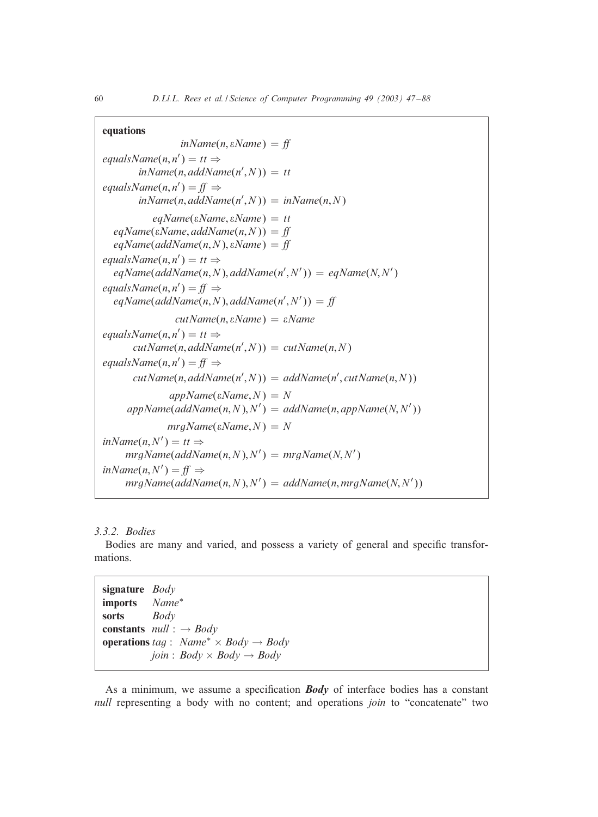# <span id="page-13-0"></span>equations

 $inName(n, \varepsilon Name) = ff$  $equalsName(n, n') = tt \Rightarrow$  $inName(n, addName(n', N)) = tt$  $equalsName(n, n') = ff \Rightarrow$  $inName(n, addName(n', N)) = inName(n, N)$  $eqName(\varepsilon Name, \varepsilon Name) = tt$  $eqName(\varepsilon Name, addName(n, N)) = ff$  $eqName(addName(n, N), \varepsilon Name) = ff$  $equalsName(n, n') = tt \Rightarrow$  $eqName(addName(n,N), addName(n',N')) = eqName(N,N')$  $equalsName(n, n') = ff \Rightarrow$  $eqName(addName(n,N),addName(n',N')) = ff$ *cutName*(n; *Name*) = *Name*  $equalsName(n, n') = tt \Rightarrow$  $cutName(n, addName(n', N)) = cutName(n, N)$  $equalsName(n, n') = ff \Rightarrow$  $cutName(n, addName(n', N)) = addName(n', cutName(n, N))$  $appName(\varepsilon Name, N) = N$  $appName(addName(n,N), N') = addName(n, appName(N, N'))$  $mrgName(\varepsilon Name, N) = N$  $inName(n, N') = tt \Rightarrow$  $\mathit{mrgName}(\mathit{addName}(n,N),N') = \mathit{mrgName}(N,N'))$  $inName(n, N') = ff \Rightarrow$  $mrgName(addName(n,N),N') = addName(n,mrgName(N,N'))$ 

# *3.3.2. Bodies*

Bodies are many and varied, and possess a variety of general and specific transformations.

signature *Body* imports *Name*<sup>∗</sup> sorts *Body* constants *null* : → *Body* **operations** *tag* : *Name*<sup>\*</sup>  $\times$  *Body*  $\rightarrow$  *Body*  $join: Body \times Body \rightarrow Body$ 

As a minimum, we assume a specification *Body* of interface bodies has a constant *null* representing a body with no content; and operations *join* to "concatenate" two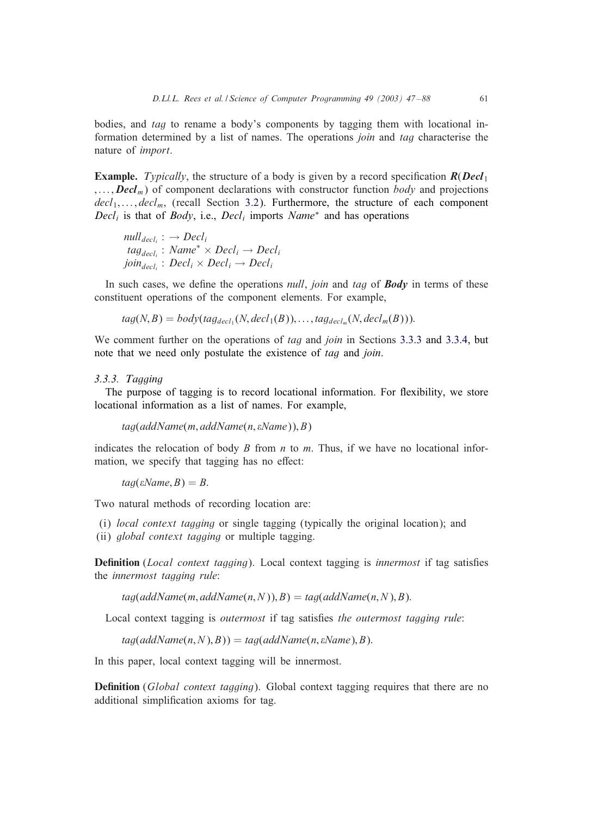<span id="page-14-0"></span>bodies, and *tag* to rename a body's components by tagging them with locational information determined by a list of names. The operations *join* and *tag* characterise the nature of *import*.

**Example.** *Typically*, the structure of a body is given by a record specification  $R(\textit{Dec1}_1)$  $, \ldots$ , *Decl<sub>m</sub>*) of component declarations with constructor function *body* and projections  $decl_1, \ldots, decl_m$ , (recall Section [3.2\)](#page-9-0). Furthermore, the structure of each component  $Decl<sub>i</sub>$  is that of *Body*, i.e., *Decl<sub>i</sub>* imports *Name*<sup>\*</sup> and has operations

```
null_{\text{decl.}} : \rightarrow \text{Decl}_itag_{decl_i}: Name<sup>*</sup> × Decl<sub>i</sub> → Decl<sub>i</sub>
join_{decl_i}: Decl_i \times Decl_i \rightarrow Decl_i
```
In such cases, we define the operations *null*, *join* and *tag* of *Body* in terms of these constituent operations of the component elements. For example,

 $tag(N, B) = body(tag_{del_1}(N, decl_1(B)), \ldots, tag_{del_n}(N, decl_m(B))).$ 

We comment further on the operations of *tag* and *join* in Sections 3.3.3 and [3.3.4,](#page-15-0) but note that we need only postulate the existence of *tag* and *join*.

### *3.3.3. Tagging*

The purpose of tagging is to record locational information. For flexibility, we store locational information as a list of names. For example,

 $tag(addName(m, addName(n, \varepsilonName)), B)$ 

indicates the relocation of body  $B$  from  $n$  to  $m$ . Thus, if we have no locational information, we specify that tagging has no effect:

 $tag(\varepsilon Name, B) = B.$ 

Two natural methods of recording location are:

- (i) *local context tagging* or single tagging (typically the original location); and
- (ii) *global context tagging* or multiple tagging.

Definition (*Local context tagging*). Local context tagging is *innermost* if tag satisfies the *innermost tagging rule*:

 $tag(addName(m, addName(n, N)), B) = tag(addName(n, N), B).$ 

Local context tagging is *outermost* if tag satisfies *the outermost tagging rule*:

 $tag(addName(n, N), B)) = tag(addName(n, \varepsilonName), B).$ 

In this paper, local context tagging will be innermost.

**Definition** (Global context tagging). Global context tagging requires that there are no additional simplification axioms for tag.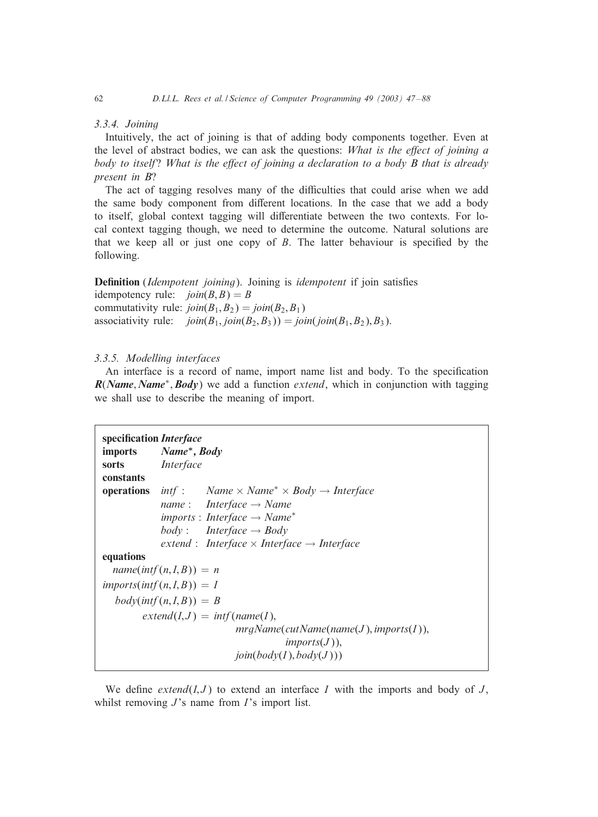### *3.3.4. Joining*

Intuitively, the act of joining is that of adding body components together. Even at the level of abstract bodies, we can ask the questions: *What is the effect of joining a body to itself? What is the effect of joining a declaration to a body B that is already present in B*?

The act of tagging resolves many of the difficulties that could arise when we add the same body component from different locations. In the case that we add a body to itself, global context tagging will differentiate between the two contexts. For local context tagging though, we need to determine the outcome. Natural solutions are that we keep all or just one copy of  $B$ . The latter behaviour is specified by the following.

**Definition** (*Idempotent joining*). Joining is *idempotent* if join satisfies idempotency rule:  $\text{join}(B, B) = B$ commutativity rule:  $\text{join}(B_1, B_2) = \text{join}(B_2, B_1)$ associativity rule:  $\text{join}(B_1, \text{join}(B_2, B_3)) = \text{join}(\text{join}(B_1, B_2), B_3).$ 

# *3.3.5. Modelling interfaces*

An interface is a record of name, import name list and body. To the specification  $R(Name, Name^*, Body)$  we add a function *extend*, which in conjunction with tagging we shall use to describe the meaning of import.

```
specification Interface
imports Name∗; Body
sorts Interface
constants
operations int : Name \times Name<sup>*</sup> \times Body \rightarrow Interface
            name : Interface → Name
            imports : Interface → Name∗
            body: Interface \rightarrow Body
            extend : Interface × Interface → Interface
equations
  name(intf(n, I, B)) = n\limports(intf(n, I, B)) = Ibody(intf(n, I, B)) = Bextend(I, J) = intf(name(I)),mrgName(cutName(name(J ); imports(I ));
                                       imports(J),join(body(I), body(J)))
```
We define  $extend(I, J)$  to extend an interface I with the imports and body of  $J$ , whilst removing  $J$ 's name from  $I$ 's import list.

<span id="page-15-0"></span>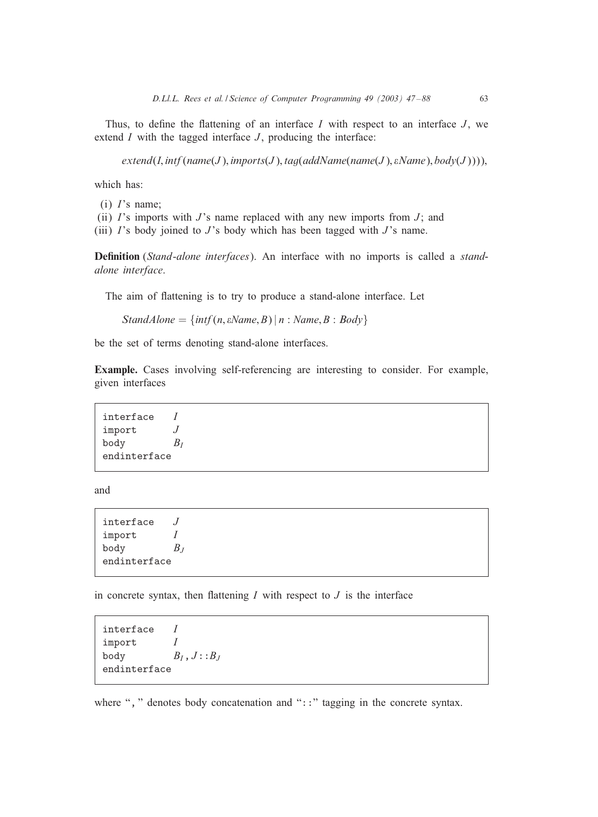Thus, to define the flattening of an interface  $I$  with respect to an interface  $J$ , we extend  $I$  with the tagged interface  $J$ , producing the interface:

 $extend(I, intf(name(J), imports(J), tag(addName(name(J), eName), body(J))))$ 

which has:

- $(i)$  I's name;
- (ii)  $\Gamma$ 's imports with  $J$ 's name replaced with any new imports from  $J$ ; and
- (iii)  $I$ 's body joined to  $J$ 's body which has been tagged with  $J$ 's name.

**Definition** (*Stand-alone interfaces*). An interface with no imports is called a *standalone interface*.

The aim of flattening is to try to produce a stand-alone interface. Let

 $Standarddone = \{ intf(n, \varepsilonName, B) | n : Name, B : Body \}$ 

be the set of terms denoting stand-alone interfaces.

Example. Cases involving self-referencing are interesting to consider. For example, given interfaces

interface I import J body  $B_I$ endinterface

and

interface  $J$ import I body  $B_J$ endinterface

in concrete syntax, then flattening  $I$  with respect to  $J$  is the interface

interface  $I$ import I body  $B_I, J: :B_J$ endinterface

where ", " denotes body concatenation and "::" tagging in the concrete syntax.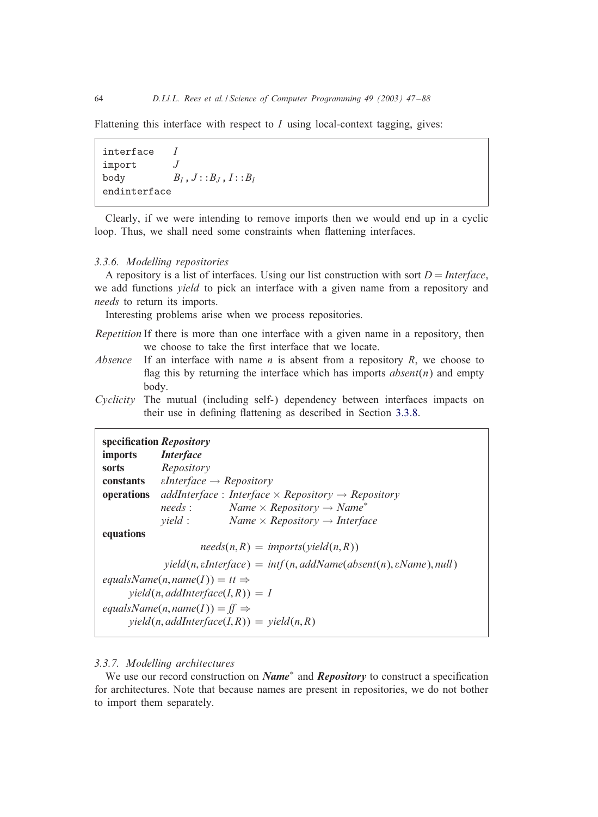Flattening this interface with respect to  $I$  using local-context tagging, gives:

interface  $I$ import J body  $B_I, J : : B_J, I : : B_I$ endinterface

Clearly, if we were intending to remove imports then we would end up in a cyclic loop. Thus, we shall need some constraints when flattening interfaces.

### *3.3.6. Modelling repositories*

A repository is a list of interfaces. Using our list construction with sort  $D =$  *Interface*, we add functions *yield* to pick an interface with a given name from a repository and *needs* to return its imports.

Interesting problems arise when we process repositories.

*Repetition* If there is more than one interface with a given name in a repository, then we choose to take the first interface that we locate.

- *Absence* If an interface with name  $n$  is absent from a repository  $R$ , we choose to flag this by returning the interface which has imports  $\text{absent}(n)$  and empty body.
- *Cyclicity* The mutual (including self-) dependency between interfaces impacts on their use in defining flattening as described in Section [3.3.8.](#page-18-0)

| imports <i>Interface</i><br>sorts                                                                                                                                               | specification Repository<br>Repository<br><b>constants</b> <i>eInterface</i> $\rightarrow$ <i>Repository</i> |                                                                                                                                                                            |
|---------------------------------------------------------------------------------------------------------------------------------------------------------------------------------|--------------------------------------------------------------------------------------------------------------|----------------------------------------------------------------------------------------------------------------------------------------------------------------------------|
| operations                                                                                                                                                                      |                                                                                                              | addInterface: Interface $\times$ Repository $\rightarrow$ Repository                                                                                                       |
|                                                                                                                                                                                 | needs:                                                                                                       | Name $\times$ Repository $\rightarrow$ Name <sup>*</sup>                                                                                                                   |
|                                                                                                                                                                                 | <i>vield</i> :                                                                                               | Name $\times$ Repository $\rightarrow$ Interface                                                                                                                           |
| equations                                                                                                                                                                       |                                                                                                              |                                                                                                                                                                            |
|                                                                                                                                                                                 |                                                                                                              | $needs(n, R) = imports( yield(n, R))$                                                                                                                                      |
|                                                                                                                                                                                 |                                                                                                              | $yield(n, \text{}) = \inf(n, \text{}(\text{} \text{name}(ab_{\text{}}, \text{name}(n), \text{} \text{name}(b_{\text{}}, \text{name}(n), \text{} \text{name}(b_{\text{}}))$ |
| equals Name $(n, name(I)) = tt \Rightarrow$<br>$yield(n, addInterface(I, R)) = I$<br>equals Name(n, name(I)) = ff $\Rightarrow$<br>$yield(n, addInterface(I, R)) = yield(n, R)$ |                                                                                                              |                                                                                                                                                                            |

# *3.3.7. Modelling architectures*

We use our record construction on *Name<sup>∗</sup>* and *Repository* to construct a specification for architectures. Note that because names are present in repositories, we do not bother to import them separately.

<span id="page-17-0"></span>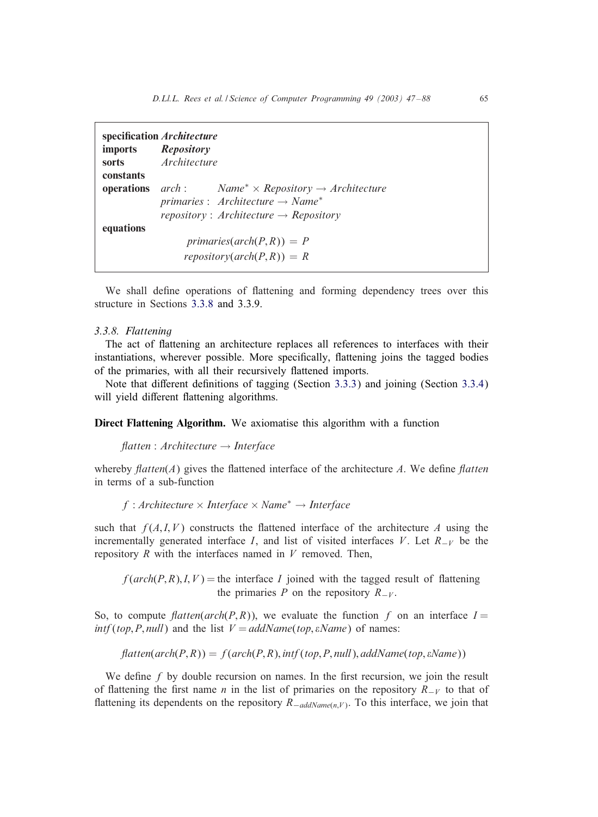<span id="page-18-0"></span>

| specification Architecture |                                                                                          |  |
|----------------------------|------------------------------------------------------------------------------------------|--|
|                            | imports Repository                                                                       |  |
| sorts                      | Architecture                                                                             |  |
| constants                  |                                                                                          |  |
|                            | <b>operations</b> arch: Name <sup>*</sup> $\times$ Repository $\rightarrow$ Architecture |  |
|                            | primaries : Architecture $\rightarrow$ Name <sup>*</sup>                                 |  |
|                            | repository: Architecture $\rightarrow$ Repository                                        |  |
| equations                  |                                                                                          |  |
|                            | primaries( $arch(P,R)$ ) = P                                                             |  |
|                            | $repository(\text{arch}(P,R)) = R$                                                       |  |

We shall define operations of flattening and forming dependency trees over this structure in Sections 3.3.8 and 3.3.9.

#### *3.3.8. Flattening*

The act of flattening an architecture replaces all references to interfaces with their instantiations, wherever possible. More specifically, flattening joins the tagged bodies of the primaries, with all their recursively flattened imports.

Note that different definitions of tagging (Section  $3.3.3$ ) and joining (Section  $3.3.4$ ) will yield different flattening algorithms.

Direct Flattening Algorithm. We axiomatise this algorithm with a function

*Aatten* : *Architecture* → *Interface*

whereby  $\text{flatten}(A)$  gives the flattened interface of the architecture A. We define  $\text{flatten}(A)$ in terms of a sub-function

f : Architecture × *Interface* × Name<sup>∗</sup> → *Interface*

such that  $f(A, I, V)$  constructs the flattened interface of the architecture A using the incrementally generated interface I, and list of visited interfaces V. Let  $R_{-V}$  be the repository  $R$  with the interfaces named in  $V$  removed. Then,

 $f(\text{arch}(P, R), I, V)$  = the interface I joined with the tagged result of flattening the primaries P on the repository  $R_{-V}$ .

So, to compute *flatten*(*arch*(*P,R*)), we evaluate the function f on an interface  $I =$  $int(top, P, null)$  and the list  $V = addName(top, \varepsilon Name)$  of names:

 $\hat{H}$ atten( $\hat{arch}(P, R)$ ) =  $f(\hat{arch}(P, R), \hat{arff}(\hat{top}, P, \hat{null}), \hat{addName}(\hat{top}, \hat{eName}))$ 

We define  $f$  by double recursion on names. In the first recursion, we join the result of flattening the first name *n* in the list of primaries on the repository  $R_{-V}$  to that of flattening its dependents on the repository R<sub>−addName(n,V)</sub>. To this interface, we join that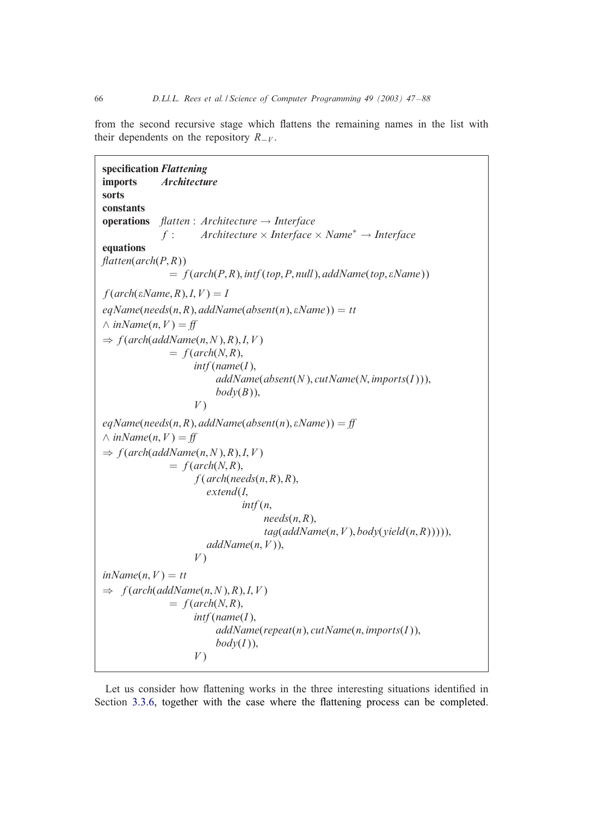from the second recursive stage which flattens the remaining names in the list with their dependents on the repository  $R_{-V}$ .

```
specification Flattening
imports Architecture
sorts
constants
operations Aatten : Architecture → Interface
              f : Architecture × Interface × Name∗ → Interface
equations
Aatten(arch(P; R))
                = f(arch(P,R), inf(top, P, null), addName(top, \varepsilon Name))f(\text{arch}(\epsilon \text{Name}, R), I, V) = IeqName(needs(n, R), addName(absent(n), \varepsilon Name)) = tt\land inName(n, V) = ff
\Rightarrow f(arch(addName(n, N), R), I, V)
                = f(\text{arch}(N, R))int|name(I),addName(absent(N); cutName(N; imports(I )));
                           body(B)<sub>)</sub>,
                      V)
eqName(needs(n, R), addName(absent(n), \varepsilon Name)) = ff\land inName(n, V) = ff
\Rightarrow f(arch(addName(n, N), R), I, V)
                = f(\text{arch}(N, R)),f(\text{arch}(\text{needs}(n, R), R))extend(I;
                                 intf (n;
                                      needs(n, R),tag(addName(n, V), body(yield(n, R))))addName(n, V),V)
inName(n, V) = tt\Rightarrow f(arch(addName(n, N), R), I, V)
                = f(\text{arch}(N, R))int(name(I),
                           addName(repeat(n); cutName(n; imports(I ));
                           body(I)),
                      V)
```
Let us consider how flattening works in the three interesting situations identified in Section [3.3.6,](#page-17-0) together with the case where the flattening process can be completed.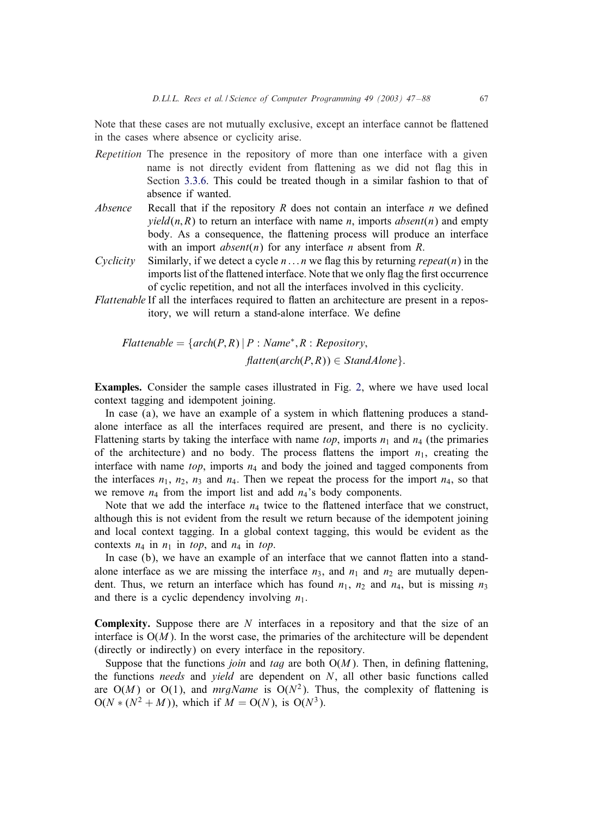Note that these cases are not mutually exclusive, except an interface cannot be flattened in the cases where absence or cyclicity arise.

- *Repetition* The presence in the repository of more than one interface with a given name is not directly evident from flattening as we did not flag this in Section [3.3.6.](#page-17-0) This could be treated though in a similar fashion to that of absence if wanted.
- *Absence* Recall that if the repository R does not contain an interface  $n$  we defined  $yield(n, R)$  to return an interface with name *n*, imports *absent*(*n*) and empty body. As a consequence, the flattening process will produce an interface with an import  $\text{absent}(n)$  for any interface *n* absent from *R*.
- *Cyclicity* Similarly, if we detect a cycle  $n \dots n$  we flag this by returning *repeat*(n) in the imports list of the flattened interface. Note that we only flag the first occurrence of cyclic repetition, and not all the interfaces involved in this cyclicity.
- *Flattenable* If all the interfaces required to flatten an architecture are present in a repository, we will return a stand-alone interface. We define

$$
Flattenable = \{ arch(P,R) | P : Name^*, R : Repository,
$$
  

$$
flatten(arch(P,R)) \in StandAlone \}.
$$

Examples. Consider the sample cases illustrated in Fig. [2,](#page-21-0) where we have used local context tagging and idempotent joining.

In case  $(a)$ , we have an example of a system in which flattening produces a standalone interface as all the interfaces required are present, and there is no cyclicity. Flattening starts by taking the interface with name *top*, imports  $n_1$  and  $n_4$  (the primaries of the architecture) and no body. The process flattens the import  $n_1$ , creating the interface with name *top*, imports  $n_4$  and body the joined and tagged components from the interfaces  $n_1$ ,  $n_2$ ,  $n_3$  and  $n_4$ . Then we repeat the process for the import  $n_4$ , so that we remove  $n_4$  from the import list and add  $n_4$ 's body components.

Note that we add the interface  $n_4$  twice to the flattened interface that we construct, although this is not evident from the result we return because of the idempotent joining and local context tagging. In a global context tagging, this would be evident as the contexts  $n_4$  in  $n_1$  in *top*, and  $n_4$  in *top*.

In case  $(b)$ , we have an example of an interface that we cannot flatten into a standalone interface as we are missing the interface  $n_3$ , and  $n_1$  and  $n_2$  are mutually dependent. Thus, we return an interface which has found  $n_1$ ,  $n_2$  and  $n_4$ , but is missing  $n_3$ and there is a cyclic dependency involving  $n_1$ .

**Complexity.** Suppose there are  $N$  interfaces in a repository and that the size of an interface is  $O(M)$ . In the worst case, the primaries of the architecture will be dependent (directly or indirectly) on every interface in the repository.

Suppose that the functions *join* and *tag* are both  $O(M)$ . Then, in defining flattening, the functions *needs* and *yield* are dependent on N, all other basic functions called are  $O(M)$  or  $O(1)$ , and *mrgName* is  $O(N^2)$ . Thus, the complexity of flattening is  $O(N * (N^2 + M))$ , which if  $M = O(N)$ , is  $O(N^3)$ .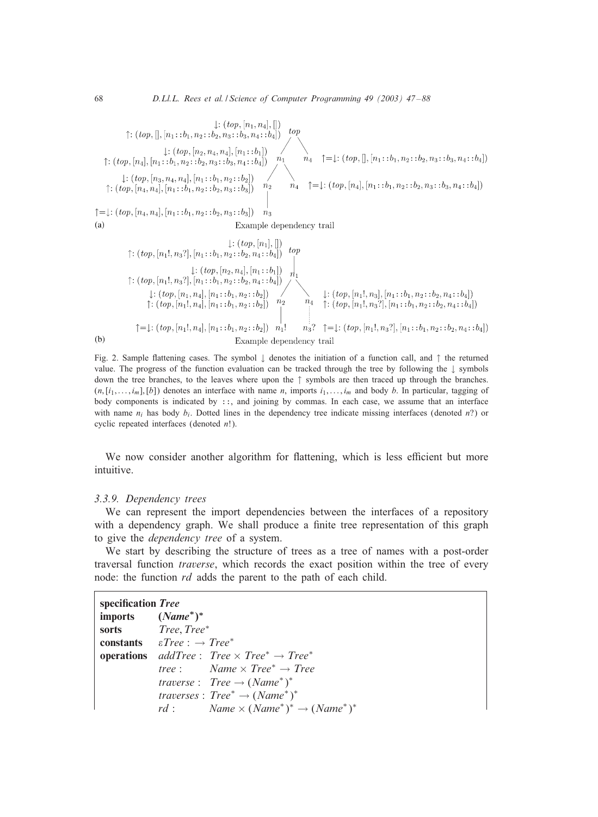

Fig. 2. Sample flattening cases. The symbol  $\downarrow$  denotes the initiation of a function call, and  $\uparrow$  the returned value. The progress of the function evaluation can be tracked through the tree by following the ↓ symbols down the tree branches, to the leaves where upon the ↑ symbols are then traced up through the branches.  $(n,[i_1,\ldots,i_m],[b])$  denotes an interface with name n, imports  $i_1,\ldots,i_m$  and body b. In particular, tagging of body components is indicated by ::, and joining by commas. In each case, we assume that an interface with name  $n_i$  has body  $b_i$ . Dotted lines in the dependency tree indicate missing interfaces (denoted n?) or cyclic repeated interfaces (denoted n!).

We now consider another algorithm for flattening, which is less efficient but more intuitive.

### *3.3.9. Dependency trees*

We can represent the import dependencies between the interfaces of a repository with a dependency graph. We shall produce a finite tree representation of this graph to give the *dependency tree* of a system.

We start by describing the structure of trees as a tree of names with a post-order traversal function *traverse*, which records the exact position within the tree of every node: the function *rd* adds the parent to the path of each child.

| specification Tree   |                                                                                            |
|----------------------|--------------------------------------------------------------------------------------------|
| imports $(Name^*)^*$ |                                                                                            |
|                      | sorts Tree, Tree*                                                                          |
|                      | <b>constants</b> $\epsilon Tree : \rightarrow Tree^*$                                      |
|                      | <b>operations</b> addTree: Tree $\times$ Tree <sup>*</sup> $\rightarrow$ Tree <sup>*</sup> |
|                      | tree: $Name \times Tree^* \rightarrow Tree$                                                |
|                      | <i>traverse</i> : $Tree \rightarrow (Name^*)^*$                                            |
|                      | traverses : $Tree^* \rightarrow (Name^*)^*$                                                |
|                      | $rd: Name \times (Name^*)^* \rightarrow (Name^*)^*$                                        |

<span id="page-21-0"></span>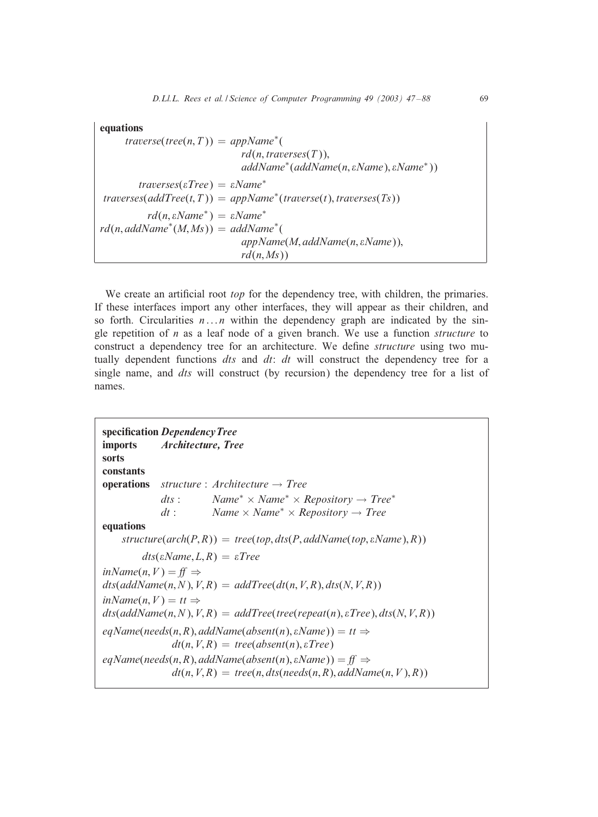# equations

 $traverse(tree(n, T)) = appName<sup>*</sup>($  $rd(n, traverses(T)),$ *addName*<sup>∗</sup> (*addName*(n; *Name*); *Name*<sup>∗</sup>))  $traverses(\varepsilon Tree) = \varepsilon Name^*$  $traverses(addTree(t, T)) = appName*(traverse(t), traverses(Ts))$  $rd(n, \varepsilon Name^*) = \varepsilon Name^*$ *rd*(n; *addName*<sup>∗</sup> (M; Ms)) = *addName*<sup>∗</sup> (  $appName(M, addName(n, \varepsilon Name)),$  $rd(n, Ms))$ 

We create an artificial root *top* for the dependency tree, with children, the primaries. If these interfaces import any other interfaces, they will appear as their children, and so forth. Circularities  $n \dots n$  within the dependency graph are indicated by the single repetition of n as a leaf node of a given branch. We use a function *structure* to construct a dependency tree for an architecture. We de6ne *structure* using two mutually dependent functions *dts* and *dt*: *dt* will construct the dependency tree for a single name, and *dts* will construct (by recursion) the dependency tree for a list of names.

| sorts                                                                                                                                                                                             | specification Dependency Tree<br>imports <i>Architecture</i> , <i>Tree</i>                                                             |  |
|---------------------------------------------------------------------------------------------------------------------------------------------------------------------------------------------------|----------------------------------------------------------------------------------------------------------------------------------------|--|
| constants                                                                                                                                                                                         |                                                                                                                                        |  |
| operations                                                                                                                                                                                        | structure : Architecture $\rightarrow$ Tree                                                                                            |  |
|                                                                                                                                                                                                   | $Name^* \times Name^* \times的$ Repository $\rightarrow Tree^*$<br>$\,ds$ :                                                             |  |
|                                                                                                                                                                                                   | Name $\times$ Name <sup>*</sup> $\times$ Repository $\rightarrow$ Tree<br>$dt$ :                                                       |  |
| equations                                                                                                                                                                                         |                                                                                                                                        |  |
|                                                                                                                                                                                                   | structure( $arch(P, R)$ ) = tree(top, dts(P, addName(top, $\varepsilon$ Name), R))                                                     |  |
|                                                                                                                                                                                                   | $\text{dts}(\text{\textit{eName}}, L, R) = \text{\textit{eTree}}$                                                                      |  |
| $inName(n, V) = ff \Rightarrow$                                                                                                                                                                   |                                                                                                                                        |  |
| $dts(addName(n, N), V, R) = addTree(dt(n, V, R), dts(N, V, R))$                                                                                                                                   |                                                                                                                                        |  |
| $inName(n, V) = tt \Rightarrow$                                                                                                                                                                   |                                                                                                                                        |  |
|                                                                                                                                                                                                   | $\text{dts}(\text{addName}(n, N), V, R) = \text{addTree}(\text{tree}(\text{repeat}(n), \varepsilon \text{Tree}), \text{dts}(N, V, R))$ |  |
| eqName(needs(n,R), addName(absent(n), $\varepsilon$ Name)) = tt $\Rightarrow$                                                                                                                     |                                                                                                                                        |  |
| $dt(n, V, R) = tree(absent(n), \varepsilon Tree)$<br>$eqName(needs(n, R), addName(absent(n), \varepsilon Name)) = ff \Rightarrow$<br>$dt(n, V, R) = tree(n, dist(needs(n, R), addName(n, V), R))$ |                                                                                                                                        |  |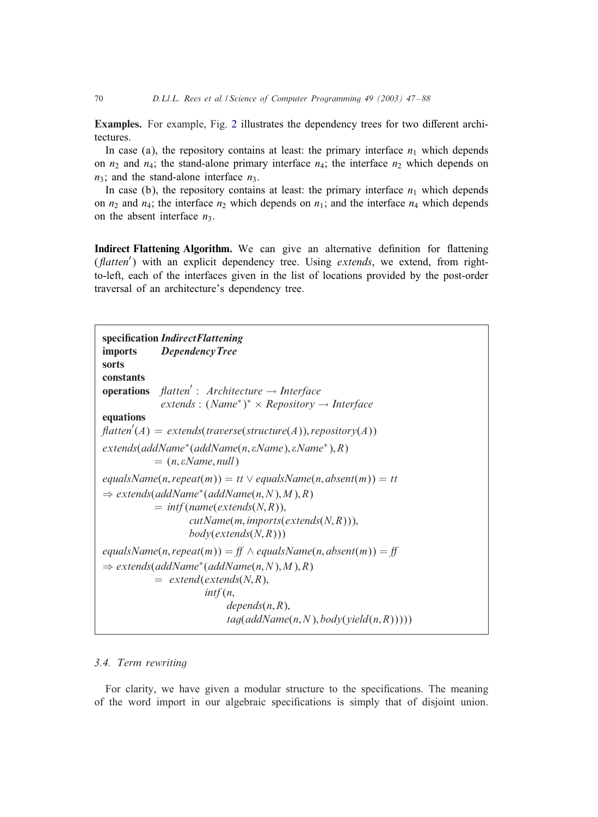**Examples.** For example, Fig. [2](#page-21-0) illustrates the dependency trees for two different architectures.

In case (a), the repository contains at least: the primary interface  $n_1$  which depends on  $n_2$  and  $n_4$ ; the stand-alone primary interface  $n_4$ ; the interface  $n_2$  which depends on  $n_3$ ; and the stand-alone interface  $n_3$ .

In case (b), the repository contains at least: the primary interface  $n_1$  which depends on  $n_2$  and  $n_4$ ; the interface  $n_2$  which depends on  $n_1$ ; and the interface  $n_4$  which depends on the absent interface  $n_3$ .

Indirect Flattening Algorithm. We can give an alternative definition for flattening (*flatten'*) with an explicit dependency tree. Using *extends*, we extend, from rightto-left, each of the interfaces given in the list of locations provided by the post-order traversal of an architecture's dependency tree.

```
specification Indirect Flattening
imports DependencyTree
sorts
constants
operations flatten': Architecture → Interface
              extends : (Name∗)
∗ × Repository → Interface
equations
\text{flatten}'(A) = \text{extends}(\text{traverse}(\text{structure}(A)), \text{repository}(A))extends(addName∗(addName(n; Name); Name∗); R)
            = (n, \varepsilon \text{Name}, \text{null})equalsName(n, repeat(m)) = tt \vee equalsName(n, absent(m)) = tt\Rightarrow extends(addName<sup>*</sup>(addName(n, N), M), R)
            = \inf(\text{name}(\text{extends}(N,R)),cutName(m; imports(extends(N; R)));
                     body(extends(N; R)))
equalsName(n, repeat(m)) = ff \wedge equalsName(n, absent(m)) = ff\Rightarrow extends(addName<sup>*</sup>(addName(n, N), M), R)
            = extend(extends(N,R),
                        intf (n;
                              depends(n, R),tag(addName(n, N), body(yield(n, R))))
```
# *3.4. Term rewriting*

For clarity, we have given a modular structure to the specifications. The meaning of the word import in our algebraic specifications is simply that of disjoint union.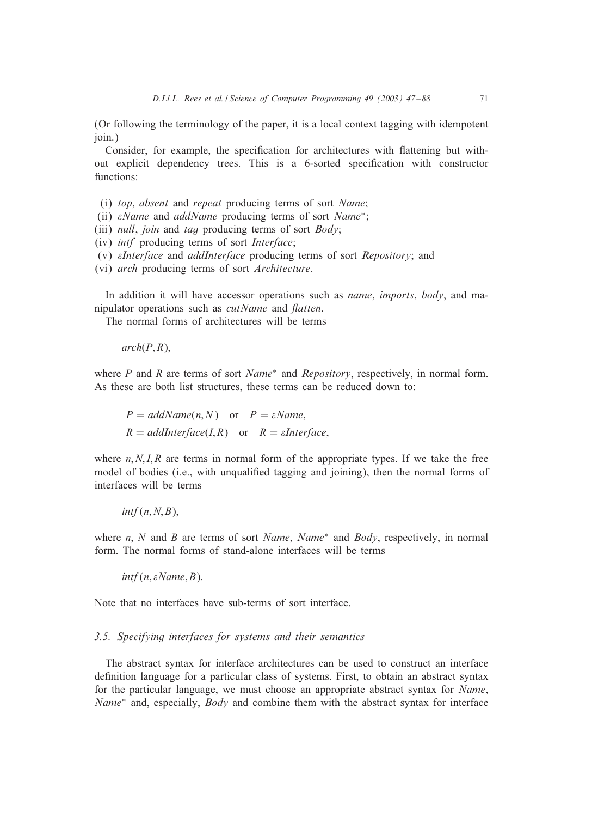<span id="page-24-0"></span>(Or following the terminology of the paper, it is a local context tagging with idempotent join.)

Consider, for example, the specification for architectures with flattening but without explicit dependency trees. This is a 6-sorted specification with constructor functions:

- (i) *top*, *absent* and *repeat* producing terms of sort *Name*;
- (ii) *Name* and *addName* producing terms of sort *Name*∗;
- (iii) *null*, *join* and *tag* producing terms of sort *Body*;
- (iv) *intf* producing terms of sort *Interface*;
- (v) *Interface* and *addInterface* producing terms of sort *Repository*; and
- (vi) *arch* producing terms of sort *Architecture*.

In addition it will have accessor operations such as *name*, *imports*, *body*, and manipulator operations such as *cutName* and *Aatten*.

The normal forms of architectures will be terms

 $arch(P, R)$ ,

where P and R are terms of sort *Name*<sup>∗</sup> and *Repository*, respectively, in normal form. As these are both list structures, these terms can be reduced down to:

 $P = addName(n, N)$  or  $P = \varepsilon Name$ ;  $R = addInterface(I, R)$  or  $R = sInterface$ ,

where  $n, N, I, R$  are terms in normal form of the appropriate types. If we take the free model of bodies (i.e., with unqualified tagging and joining), then the normal forms of interfaces will be terms

 $intf(n, N, B)$ ,

where n, N and B are terms of sort *Name*, *Name*<sup>∗</sup> and *Body*, respectively, in normal form. The normal forms of stand-alone interfaces will be terms

 $int(n, \varepsilon Name, B)$ .

Note that no interfaces have sub-terms of sort interface.

### *3.5. Specifying interfaces for systems and their semantics*

The abstract syntax for interface architectures can be used to construct an interface definition language for a particular class of systems. First, to obtain an abstract syntax for the particular language, we must choose an appropriate abstract syntax for *Name*, *Name*<sup>∗</sup> and, especially, *Body* and combine them with the abstract syntax for interface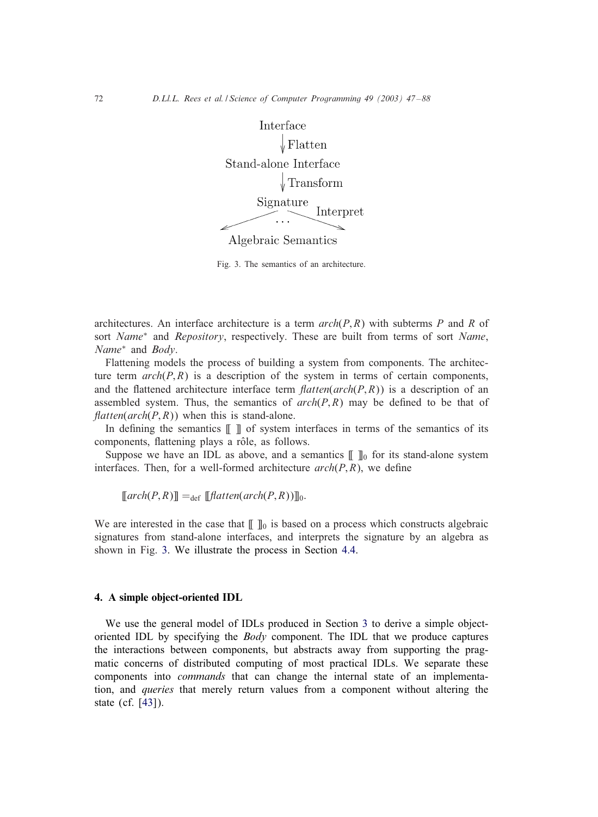<span id="page-25-0"></span>

Fig. 3. The semantics of an architecture.

architectures. An interface architecture is a term *arch*(P; R) with subterms P and R of sort *Name*<sup>∗</sup> and *Repository*, respectively. These are built from terms of sort *Name*, *Name*<sup>∗</sup> and *Body*.

Flattening models the process of building a system from components. The architecture term  $\arch(P, R)$  is a description of the system in terms of certain components, and the flattened architecture interface term  $\text{flatten}(\text{arch}(P, R))$  is a description of an assembled system. Thus, the semantics of  $arch(P, R)$  may be defined to be that of  $\text{flatten}(\text{arch}(P, R))$  when this is stand-alone.

In defining the semantics  $\llbracket \ \rrbracket$  of system interfaces in terms of the semantics of its components, flattening plays a rôle, as follows.

Suppose we have an IDL as above, and a semantics  $[\![\;]\!]_0$  for its stand-alone system interfaces. Then, for a well-formed architecture  $\operatorname{arch}(P, R)$ , we define

 $\llbracket \text{arch}(P, R) \rrbracket =_{\text{def}} \llbracket \text{flatten}(\text{arch}(P, R)) \rrbracket_0.$ 

We are interested in the case that  $[\![\;]\!]_0$  is based on a process which constructs algebraic signatures from stand-alone interfaces, and interprets the signature by an algebra as shown in Fig. 3. We illustrate the process in Section [4.4.](#page-29-0)

### 4. A simple object-oriented IDL

We use the general model of IDLs produced in Section [3](#page-8-0) to derive a simple objectoriented IDL by specifying the *Body* component. The IDL that we produce captures the interactions between components, but abstracts away from supporting the pragmatic concerns of distributed computing of most practical IDLs. We separate these components into *commands* that can change the internal state of an implementation, and *queries* that merely return values from a component without altering the state (cf. [\[43\]](#page-41-0)).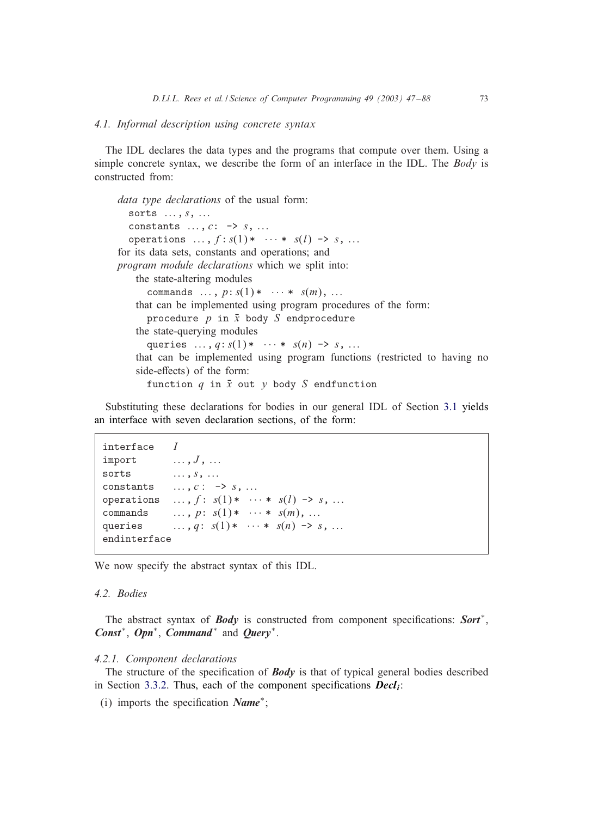### <span id="page-26-0"></span>*4.1. Informal description using concrete syntax*

The IDL declares the data types and the programs that compute over them. Using a simple concrete syntax, we describe the form of an interface in the IDL. The *Body* is constructed from:

```
data type declarations of the usual form:
  sorts \ldots, s, \ldotsconstants \ldots, c: \rightarrow s, \ldotsoperations \ldots, f: s(1) * \cdots * s(l) \rightarrow s, \ldotsfor its data sets, constants and operations; and
program module declarations which we split into:
    the state-altering modules
      commands \ldots, p: s(1) * \cdots * s(m), \ldotsthat can be implemented using program procedures of the form:
      procedure p in \bar{x} body S endprocedure
    the state-querying modules
      queries ..., q: s(1) * ... * s(n) \rightarrow s, ...
    that can be implemented using program functions (restricted to having no
    side-effects) of the form:
      function q in \bar{x} out y body S endfunction
```
Substituting these declarations for bodies in our general IDL of Section [3.1](#page-8-0) yields an interface with seven declaration sections, of the form:

```
interface Iimport \ldots, J, \ldotssorts \ldots, s, \ldotsconstants \ldots, c : -> s, \ldotsoperations \ldots, f: s(1)* \cdots * s(l) \rightarrow s, \ldotscommands \ldots, p: s(1) * \cdots * s(m), \ldotsqueries ..., q: s(1) * ... * s(n) \to s, ...
endinterface
```
We now specify the abstract syntax of this IDL.

# *4.2. Bodies*

The abstract syntax of *Body* is constructed from component specifications: *Sort*<sup>\*</sup>, *Const*<sup>∗</sup>, *Opn*<sup>∗</sup>, *Command*<sup>∗</sup> and *Query*<sup>∗</sup>.

### *4.2.1. Component declarations*

The structure of the specification of *Body* is that of typical general bodies described in Section [3.3.2.](#page-13-0) Thus, each of the component specifications  $\boldsymbol{D}\boldsymbol{e}\boldsymbol{c}\boldsymbol{l}_{i}$ :

(i) imports the specification *Name<sup>\*</sup>*;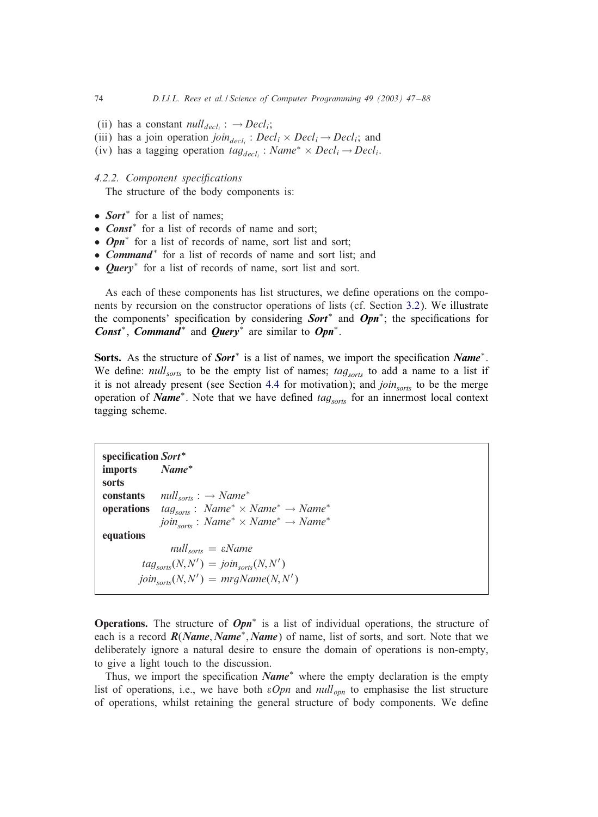- (ii) has a constant  $null_{deli}$  :  $\rightarrow Decl_{i}$ ;
- (iii) has a join operation *join*<sub>decli</sub>:  $Decl_i \times Decl_i \rightarrow Decl_i$ ; and
- (iv) has a tagging operation  $tag_{decl_i}$ : *Name<sup>\*</sup>* × *Decl<sub>i</sub>* → *Decl<sub>i</sub>*.

#### **4.2.2.** Component specifications

The structure of the body components is:

- *Sort*<sup>∗</sup> for a list of names;
- *Const*<sup>\*</sup> for a list of records of name and sort;
- *Opn*<sup>∗</sup> for a list of records of name, sort list and sort;
- *Command*<sup>∗</sup> for a list of records of name and sort list; and
- *Query*<sup>∗</sup> for a list of records of name, sort list and sort.

As each of these components has list structures, we define operations on the components by recursion on the constructor operations of lists (cf. Section [3.2\)](#page-9-0). We illustrate the components' specification by considering **Sort**<sup>∗</sup> and **Opn**<sup>∗</sup>; the specifications for *Const*<sup>∗</sup>, *Command*<sup>∗</sup> and *Query*<sup>∗</sup> are similar to *Opn*<sup>∗</sup>.

Sorts. As the structure of *Sort*<sup>∗</sup> is a list of names, we import the specification *Name*<sup>∗</sup>. We define: *null<sub>sorts</sub>* to be the empty list of names; *tag<sub>sorts</sub>* to add a name to a list if it is not already present (see Section [4.4](#page-29-0) for motivation); and  $\text{join}_{\text{sorts}}$  to be the merge operation of *Name<sup>∗</sup>*. Note that we have defined *tag<sub>sorts</sub>* for an innermost local context tagging scheme.

specification Sort<sup>\*</sup> imports *Name<sup>∗</sup>* sorts constants *null*sorts : → *Name*<sup>∗</sup> **operations**  $tag_{\text{corrs}}$ :  $Name^* \times Name^* \rightarrow Name^*$  $join<sub>sorts</sub> : Name^* \times Name^* \rightarrow Name^*$ equations  $null_{sorts} = \varepsilon Name$  $tag_{sorts}(N, N') = join_{sorts}(N, N')$  $\text{join}_{\text{sorts}}(N, N') = \text{mrgName}(N, N')$ 

Operations. The structure of *Opn*<sup>∗</sup> is a list of individual operations, the structure of each is a record *R*(*Name*; *Name*∗; *Name*) of name, list of sorts, and sort. Note that we deliberately ignore a natural desire to ensure the domain of operations is non-empty, to give a light touch to the discussion.

Thus, we import the specification *Name*<sup>∗</sup> where the empty declaration is the empty list of operations, i.e., we have both  $\varepsilon Opn$  and  $null_{opn}$  to emphasise the list structure of operations, whilst retaining the general structure of body components. We define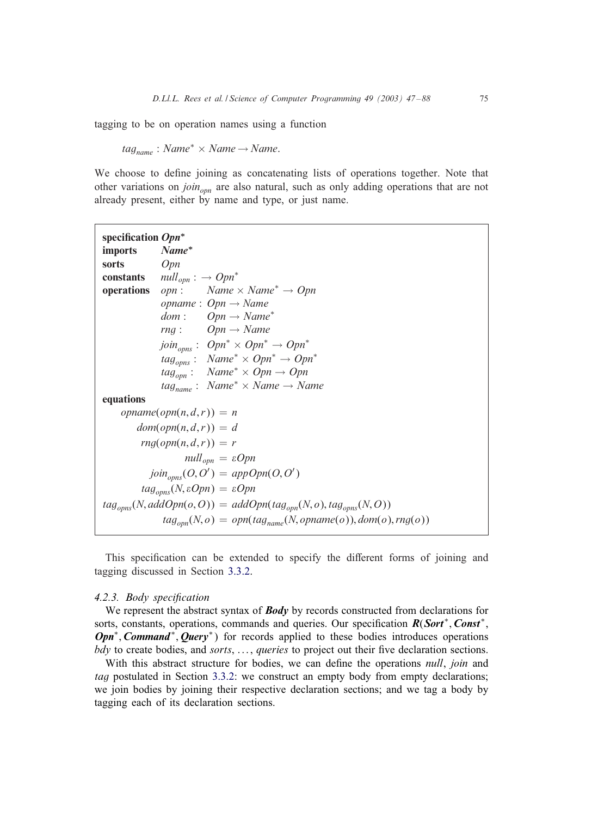tagging to be on operation names using a function

 $tag_{name}$ : *Name*<sup>\*</sup> × *Name* → *Name*.

We choose to define joining as concatenating lists of operations together. Note that other variations on *joinopn* are also natural, such as only adding operations that are not already present, either by name and type, or just name.

| specification $Opn^*$                                     |                                                                                                                 |  |
|-----------------------------------------------------------|-----------------------------------------------------------------------------------------------------------------|--|
| <b>imports</b>                                            | Name*                                                                                                           |  |
| sorts                                                     | <i>Opn</i>                                                                                                      |  |
|                                                           | <b>constants</b> $null_{opn}: \rightarrow Opn^*$                                                                |  |
| operations                                                | $opn:$ Name $\times$ Name <sup>*</sup> $\rightarrow$ Opn                                                        |  |
|                                                           | <i>opname</i> : $Opn \rightarrow Name$                                                                          |  |
|                                                           | $dom: Opn \rightarrow Name^*$                                                                                   |  |
|                                                           | $Open \rightarrow Name$<br>rng:                                                                                 |  |
|                                                           | $join_{opns}:$ $Open^* \times Opn^* \rightarrow Opn^*$                                                          |  |
|                                                           | $tag_{\textit{opns}}: \textit{Name}^* \times \textit{Opn}^* \rightarrow \textit{Opn}^*$                         |  |
|                                                           | $tag_{opn}: Name^* \times Opn \rightarrow Opn$                                                                  |  |
|                                                           | $tag_{name}$ : Name <sup>*</sup> × Name $\rightarrow$ Name                                                      |  |
| equations                                                 |                                                                                                                 |  |
|                                                           | $opname(opn(n, d, r)) = n$                                                                                      |  |
|                                                           | $dom(opn(n, d, r)) = d$                                                                                         |  |
| $rng(opn(n,d,r))=r$                                       |                                                                                                                 |  |
| $null_{\text{opn}} = \varepsilon Opn$                     |                                                                                                                 |  |
| $join_{\text{onns}}(O, O') = appOpen(O, O')$              |                                                                                                                 |  |
| $tag_{\text{cons}}(N, \varepsilon Opn) = \varepsilon Opn$ |                                                                                                                 |  |
|                                                           | $tag_{\text{cons}}(N, addOpen(o, O)) = addOpen(tag_{\text{conn}}(N, o), tag_{\text{onns}}(N, O))$               |  |
|                                                           | $tag_{\text{om}}(N,o) = \text{opn}(\text{tag}_{\text{name}}(N,\text{opname}(o)), \text{dom}(o), \text{rng}(o))$ |  |

This specification can be extended to specify the different forms of joining and tagging discussed in Section [3.3.2.](#page-13-0)

### 4.2.3. Body specification

We represent the abstract syntax of **Body** by records constructed from declarations for sorts, constants, operations, commands and queries. Our specification  $R(Sort^*, Const^*,$ *Opn<sup>∗</sup>*, *Command<sup>∗</sup>*, *Query<sup>∗</sup>*) for records applied to these bodies introduces operations *bdy* to create bodies, and *sorts*, ..., *queries* to project out their five declaration sections.

With this abstract structure for bodies, we can define the operations *null*, *join* and *tag* postulated in Section [3.3.2:](#page-13-0) we construct an empty body from empty declarations; we join bodies by joining their respective declaration sections; and we tag a body by tagging each of its declaration sections.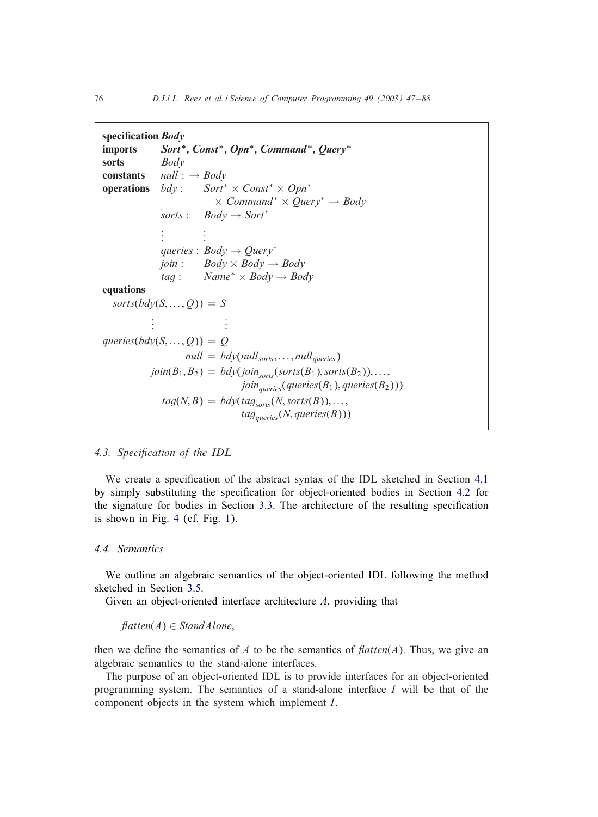```
specification Body
imports Sort∗; Const∗; Opn∗; Command∗; Query∗
sorts Body
constants null : \rightarrow Body<br>operations bdv : Sort^*operations bdy : Sort∗ × Const∗ × Opn∗
                               × Command∗ × Query∗ → Body
                sorts: Body \rightarrow Sort<sup>*</sup>
                 .
                 .
                 \mathbf{r} = \frac{1}{2}.
                             .
                queries : Body → Query∗
                \phijoin : Body \times Body \rightarrow Body
                tag:12. <i>Name</i>* <math>\times</math> <i>Body</i> <math>\rightarrow</math> <i>Body</i>equations
  sorts(bdy(S, \ldots, Q)) = S.
              .
              . .
                                   .
                                   .
queries(bdy(S, \ldots, Q)) = Qnull = bdy(null<sub>sorts</sub>,...,null<sub>queries</sub>)
             join(B_1, B_2) = bdy(join<sub>sorts</sub>(sorts(B_1), sorts(B_2)),...join_{queries}(queries(B_1), queries(B_2)))tag(N, B) = bdy(tag_{sorts}(N, sorts(B)), \ldots,tag_{\textit{queries}}(N, \textit{queries}(B)))
```
### **4.3. Specification of the IDL**

We create a specification of the abstract syntax of the IDL sketched in Section [4.1](#page-26-0) by simply substituting the specification for object-oriented bodies in Section [4.2](#page-26-0) for the signature for bodies in Section [3.3.](#page-11-0) The architecture of the resulting specification is shown in Fig. [4](#page-30-0) (cf. Fig. [1\)](#page-12-0).

### *4.4. Semantics*

We outline an algebraic semantics of the object-oriented IDL following the method sketched in Section [3.5.](#page-24-0)

Given an object-oriented interface architecture A, providing that

 $\text{flatten}(A) \in \text{Standard}(\text{A})$ 

then we define the semantics of A to be the semantics of  $flatten(A)$ . Thus, we give an algebraic semantics to the stand-alone interfaces.

The purpose of an object-oriented IDL is to provide interfaces for an object-oriented programming system. The semantics of a stand-alone interface I will be that of the component objects in the system which implement I.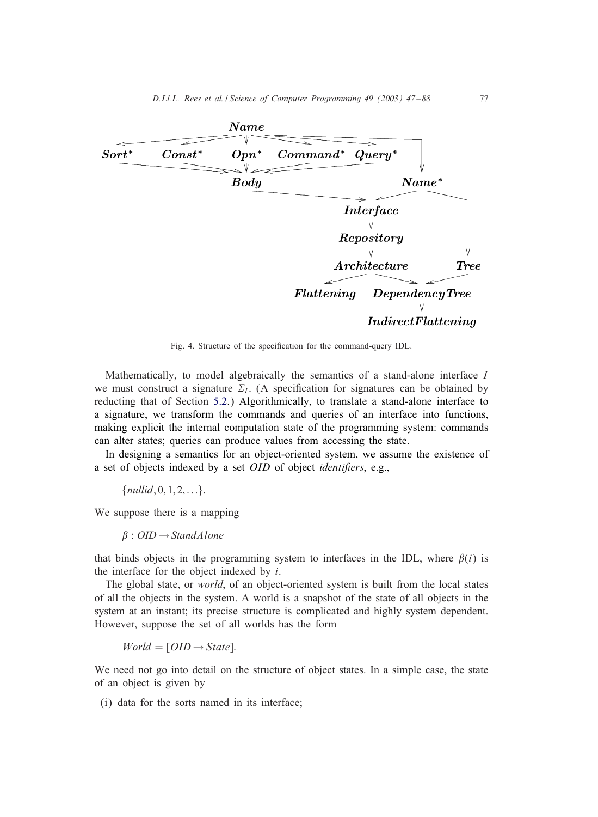<span id="page-30-0"></span>

Fig. 4. Structure of the specification for the command-query IDL.

Mathematically, to model algebraically the semantics of a stand-alone interface I we must construct a signature  $\Sigma_I$ . (A specification for signatures can be obtained by reducting that of Section [5.2.](#page-35-0)) Algorithmically, to translate a stand-alone interface to a signature, we transform the commands and queries of an interface into functions, making explicit the internal computation state of the programming system: commands can alter states; queries can produce values from accessing the state.

In designing a semantics for an object-oriented system, we assume the existence of a set of objects indexed by a set *OID* of object *identifiers*, e.g.,

 ${nullid, 0, 1, 2, \ldots}.$ 

We suppose there is a mapping

 $\beta$ : OID  $\rightarrow$  Stand A lone

that binds objects in the programming system to interfaces in the IDL, where  $\beta(i)$  is the interface for the object indexed by  $i$ .

The global state, or *world*, of an object-oriented system is built from the local states of all the objects in the system. A world is a snapshot of the state of all objects in the system at an instant; its precise structure is complicated and highly system dependent. However, suppose the set of all worlds has the form

 $World = [OID \rightarrow State].$ 

We need not go into detail on the structure of object states. In a simple case, the state of an object is given by

(i) data for the sorts named in its interface;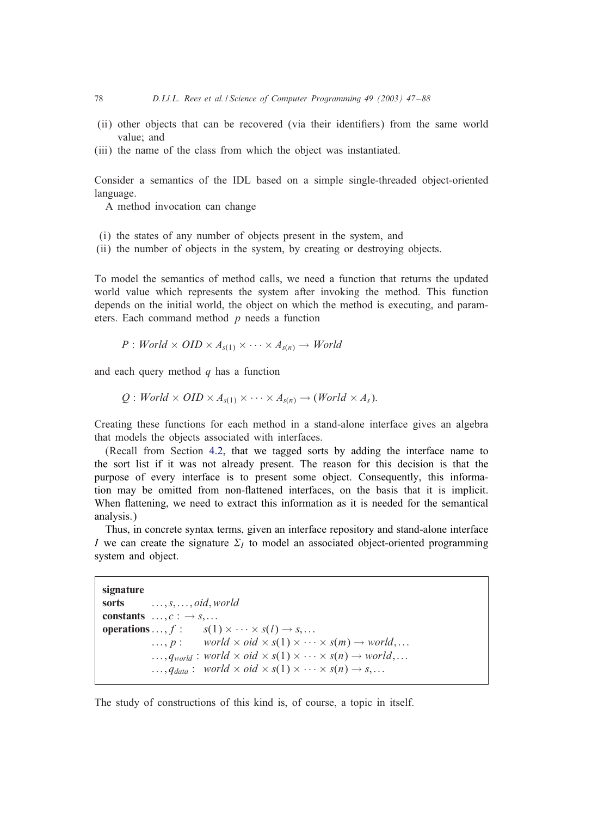- (ii) other objects that can be recovered (via their identi6ers) from the same world value; and
- (iii) the name of the class from which the object was instantiated.

Consider a semantics of the IDL based on a simple single-threaded object-oriented language.

A method invocation can change

- (i) the states of any number of objects present in the system, and
- (ii) the number of objects in the system, by creating or destroying objects.

To model the semantics of method calls, we need a function that returns the updated world value which represents the system after invoking the method. This function depends on the initial world, the object on which the method is executing, and parameters. Each command method  $p$  needs a function

$$
P: World \times OID \times A_{s(1)} \times \cdots \times A_{s(n)} \rightarrow World
$$

and each query method  $q$  has a function

 $Q: World \times OID \times A_{s(1)} \times \cdots \times A_{s(n)} \rightarrow (World \times A_s).$ 

Creating these functions for each method in a stand-alone interface gives an algebra that models the objects associated with interfaces.

(Recall from Section [4.2,](#page-26-0) that we tagged sorts by adding the interface name to the sort list if it was not already present. The reason for this decision is that the purpose of every interface is to present some object. Consequently, this information may be omitted from non-flattened interfaces, on the basis that it is implicit. When flattening, we need to extract this information as it is needed for the semantical analysis.)

Thus, in concrete syntax terms, given an interface repository and stand-alone interface I we can create the signature  $\Sigma_I$  to model an associated object-oriented programming system and object.

```
signature
sorts \dots, s, \dots, oid, worldconstants \ldots, c : \rightarrow s, \ldotsoperations ..., f: s(1) \times \cdots \times s(l) \rightarrow s, \ldots\ldots, p : world \times oid \times s(1) \times \cdots \times s(m) \rightarrow world,...
                \ldots, q_{world}: world \times oid \times s(1) \times \cdots \times s(n) \rightarrow world,...
                 \ldots, q_{data}: world \times oid \times s(1) \times \cdots \times s(n) \rightarrow s,...
```
The study of constructions of this kind is, of course, a topic in itself.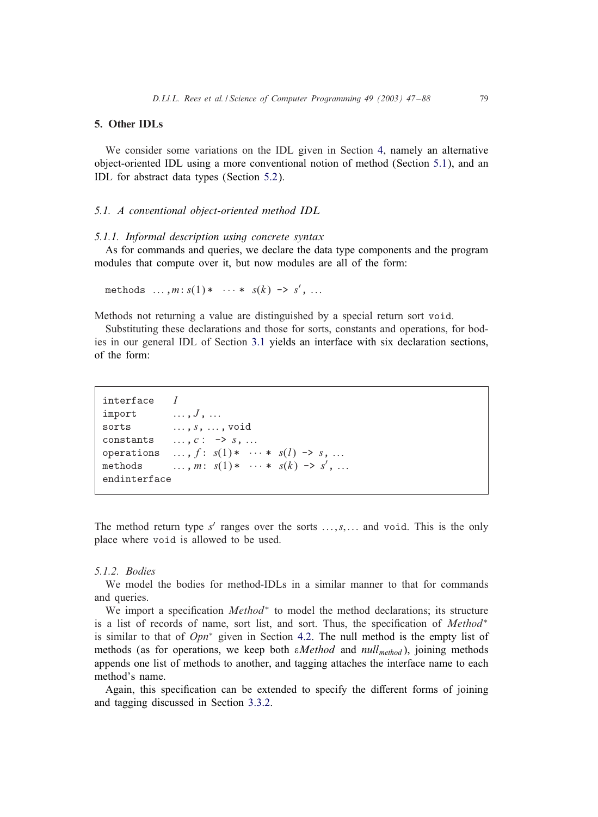### <span id="page-32-0"></span>5. Other IDLs

We consider some variations on the IDL given in Section [4,](#page-25-0) namely an alternative object-oriented IDL using a more conventional notion of method (Section 5.1), and an IDL for abstract data types (Section [5.2\)](#page-35-0).

### *5.1. A conventional object-oriented method IDL*

#### *5.1.1. Informal description using concrete syntax*

As for commands and queries, we declare the data type components and the program modules that compute over it, but now modules are all of the form:

methods  $..., m : s(1) * ... * s(k) \rightarrow s', ...$ 

Methods not returning a value are distinguished by a special return sort void.

Substituting these declarations and those for sorts, constants and operations, for bodies in our general IDL of Section [3.1](#page-8-0) yields an interface with six declaration sections, of the form:

```
interface Iimport \ldots, J, \ldotssorts \dots, s, \dots, void
constants \ldots, c : -> s, \ldotsoperations \ldots, f: s(1) * \cdots * s(l) \rightarrow s, \ldotsmethods \ldots, m: s(1)* \cdots * s(k) \rightarrow s', ...
endinterface
```
The method return type  $s'$  ranges over the sorts  $\dots, s, \dots$  and void. This is the only place where void is allowed to be used.

#### *5.1.2. Bodies*

We model the bodies for method-IDLs in a similar manner to that for commands and queries.

We import a specification *Method*<sup>∗</sup> to model the method declarations; its structure is a list of records of name, sort list, and sort. Thus, the specification of *Method<sup>∗</sup>* is similar to that of *Opn*<sup>∗</sup> given in Section [4.2.](#page-26-0) The null method is the empty list of methods (as for operations, we keep both *Method* and *null*method), joining methods appends one list of methods to another, and tagging attaches the interface name to each method's name.

Again, this specification can be extended to specify the different forms of joining and tagging discussed in Section [3.3.2.](#page-13-0)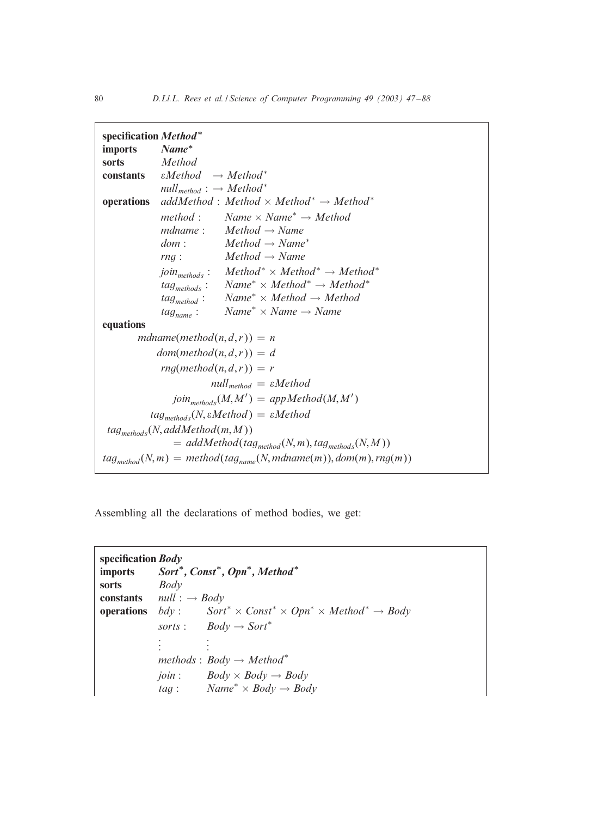| specification Method*                                       |                                                                                                       |  |
|-------------------------------------------------------------|-------------------------------------------------------------------------------------------------------|--|
| <i>imports</i>                                              | $Name^*$                                                                                              |  |
| <b>sorts</b>                                                | Method                                                                                                |  |
|                                                             | <b>constants</b> $\varepsilon Method \rightarrow Method^*$                                            |  |
|                                                             | $null_{method}: \rightarrow Method^*$                                                                 |  |
| operations                                                  | $addMethod: Method \times Method^* \rightarrow Method^*$                                              |  |
|                                                             | method: Name $\times$ Name <sup>*</sup> $\rightarrow$ Method                                          |  |
|                                                             | mdname: $Method \rightarrow Name$                                                                     |  |
|                                                             | $dom: Medhod \rightarrow Name^*$                                                                      |  |
|                                                             | $rng: Medmod \rightarrow Name$                                                                        |  |
|                                                             | join <sub>methods</sub> : Method <sup>*</sup> × Method <sup>*</sup> $\rightarrow$ Method <sup>*</sup> |  |
|                                                             | $tag_{methods}:$ $Name^* \times Method^* \rightarrow Method^*$                                        |  |
|                                                             | $tag_{method}: Name^* \times Method \rightarrow Method$                                               |  |
|                                                             | $Name^* \times Name \rightarrow Name$<br>$tag_{name}$ :                                               |  |
| equations                                                   |                                                                                                       |  |
| $mdname(method(n, d, r)) = n$                               |                                                                                                       |  |
|                                                             | $dom(method(n, d, r)) = d$                                                                            |  |
| $rng(method(n, d, r)) = r$                                  |                                                                                                       |  |
| $null_{method} = \varepsilon Method$                        |                                                                                                       |  |
| $join_{methods}(M, M') = appMethod(M, M')$                  |                                                                                                       |  |
| $tag_{methods}(N, \varepsilon Method) = \varepsilon Method$ |                                                                                                       |  |
| $tag_{methods}(N, addMethod(m, M))$                         |                                                                                                       |  |
| $= addMethod(tag_{method}(N,m), tag_{methods}(N,M))$        |                                                                                                       |  |
|                                                             | $tag_{method}(N,m) = method(tag_{name}(N,mdname(m)),dom(m), rng(m))$                                  |  |

Assembling all the declarations of method bodies, we get:

```
specification Body
imports Sort∗; Const∗; Opn∗; Method∗
sorts Body
constants null : → Body
operations bdy : Sort∗ × Const∗ × Opn∗ × Method∗ → Body
            sorts: Body \rightarrow Sort<sup>*</sup>
             .
.
             . .
                       .
                       .
            methods : Body → Method∗
            join : \qquad Body \times Body \rightarrow Body
            tag:12.14 Name^* \times Body \rightarrow Body
```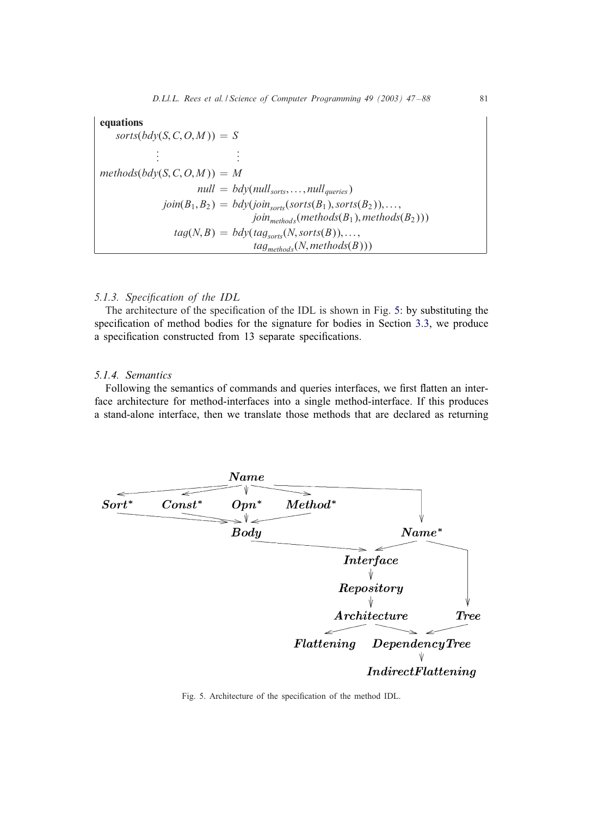# equations

 $sorts(bdy(S, C, O, M)) = S$ . .  $\mathbf{r} = \mathbf{r} \times \mathbf{r}$ . .  $methods(bdv(S, C, O, M)) = M$  $null = bdy(null_{sorts}, \ldots, null_{queries})$  $join(B_1, B_2) = bdy(join_{sorts}(sorts(B_1), sorts(B_2)),...$  $join_{methods}(methods(B_1), methods(B_2)))$  $tag(N, B) = bdy(tag_{sorts}(N, sorts(B)),...$  $tag_{methods}(N, methods(B)))$ 

# 5.1.3. Specification of the IDL

The architecture of the specification of the IDL is shown in Fig. 5: by substituting the specification of method bodies for the signature for bodies in Section [3.3,](#page-11-0) we produce a specification constructed from 13 separate specifications.

# *5.1.4. Semantics*

Following the semantics of commands and queries interfaces, we first flatten an interface architecture for method-interfaces into a single method-interface. If this produces a stand-alone interface, then we translate those methods that are declared as returning



Fig. 5. Architecture of the specification of the method IDL.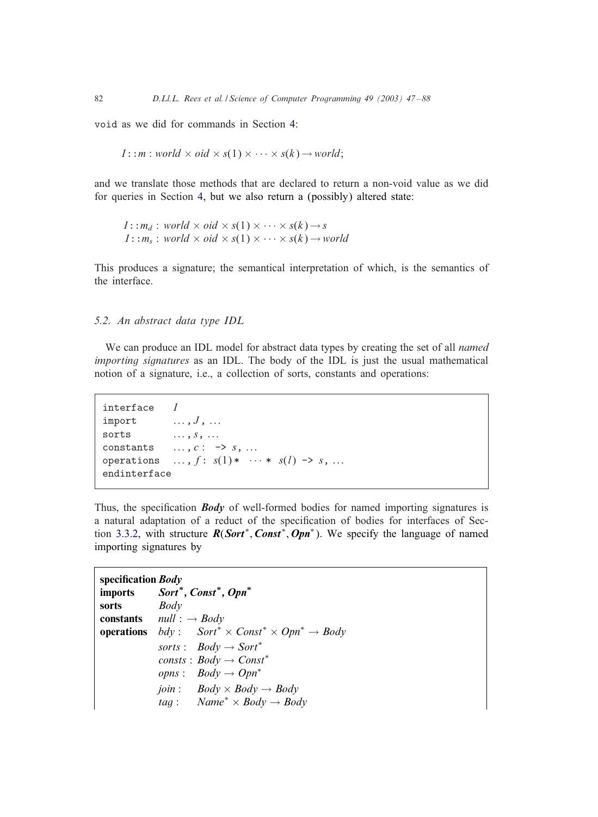<span id="page-35-0"></span>void as we did for commands in Section [4:](#page-25-0)

$$
I: m: world \times oid \times s(1) \times \cdots \times s(k) \rightarrow world;
$$

and we translate those methods that are declared to return a non-void value as we did for queries in Section [4,](#page-25-0) but we also return a (possibly) altered state:

 $I: : m_d : world \times oid \times s(1) \times \cdots \times s(k) \rightarrow s$  $I: : m_s : world \times oid \times s(1) \times \cdots \times s(k) \rightarrow world$ 

This produces a signature; the semantical interpretation of which, is the semantics of the interface.

### *5.2. An abstract data type IDL*

We can produce an IDL model for abstract data types by creating the set of all *named importing signatures* as an IDL. The body of the IDL is just the usual mathematical notion of a signature, i.e., a collection of sorts, constants and operations:

```
interface Iimport \ldots, J, \ldotssorts \dots, s, \dotsconstants \ldots, c: \rightarrow s, \ldotsoperations \ldots, f: s(1) * \cdots * s(l) \rightarrow s, ...
endinterface
```
Thus, the specification *Body* of well-formed bodies for named importing signatures is a natural adaptation of a reduct of the specification of bodies for interfaces of Section [3.3.2,](#page-13-0) with structure *R*(*Sort*∗; *Const*∗; *Opn*<sup>∗</sup>). We specify the language of named importing signatures by

| specification <i>Body</i> |                                                                                 |
|---------------------------|---------------------------------------------------------------------------------|
|                           | imports Sort*, Const*, Opn*                                                     |
| sorts                     | Body                                                                            |
|                           | <b>constants</b> $null: \rightarrow Body$                                       |
|                           | <b>operations</b> $bdy$ : $Sort^* \times Const^* \times Opn^* \rightarrow Body$ |
|                           | sorts : $Body \rightarrow Sort^*$                                               |
|                           | consts : $Body \rightarrow Const^*$                                             |
|                           | <i>opns</i> : $Body \rightarrow Opn^*$                                          |
|                           | <i>join</i> : $Body \times Body \rightarrow Body$                               |
|                           | <i>tag</i> : Name <sup>*</sup> $\times$ <i>Body</i> $\rightarrow$ <i>Body</i>   |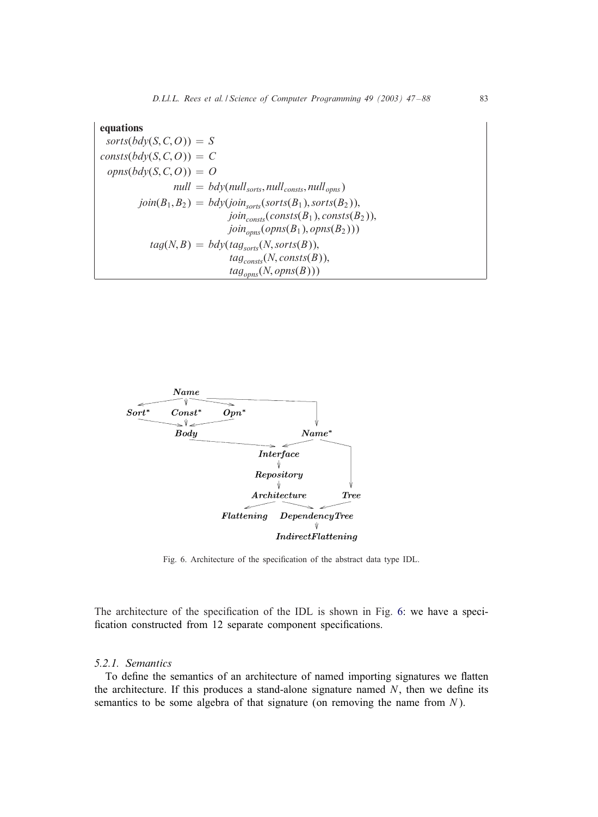### equations

 $sorts(bdy(S, C, O)) = S$  $consts(bdy(S, C, O)) = C$  $opns(bdv(S, C, O)) = O$  $null = bdy(null_{sorts}, null_{consts}, null_{opns})$  $join(B_1, B_2) = bdy(join_{\text{sorts}}(sorts(B_1), sorts(B_2)),$  $join_{consts}(consts(B_1), consts(B_2)),$  $join_{opns}(opns(B_1),opns(B_2)))$  $tag(N, B) = bdy(tag_{sorts}(N, sorts(B)),$  $tag_{consts}(N, consts(B)),$  $tag_{\text{cons}}(N, \text{opns}(B)))$ 



Fig. 6. Architecture of the specification of the abstract data type IDL.

The architecture of the specification of the IDL is shown in Fig. 6: we have a specification constructed from 12 separate component specifications.

# *5.2.1. Semantics*

To define the semantics of an architecture of named importing signatures we flatten the architecture. If this produces a stand-alone signature named  $N$ , then we define its semantics to be some algebra of that signature (on removing the name from  $N$ ).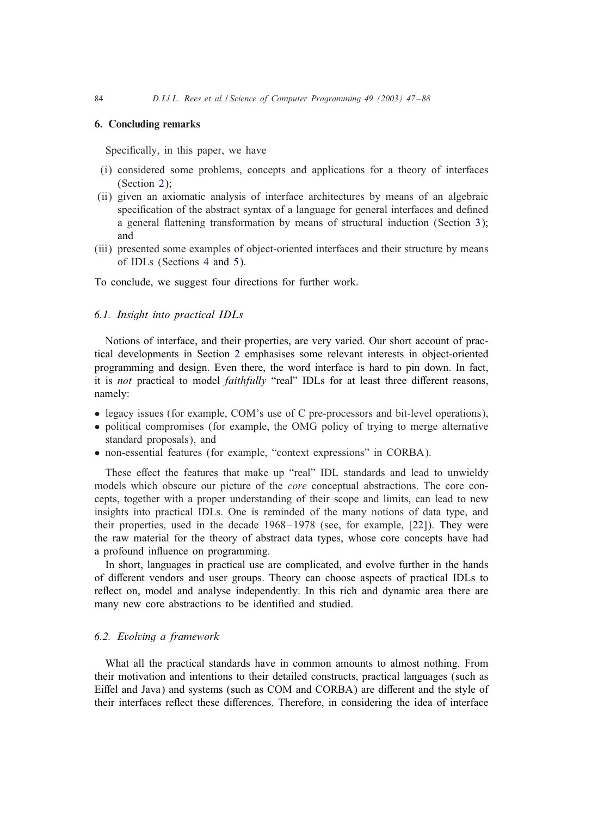### 6. Concluding remarks

Specifically, in this paper, we have

- (i) considered some problems, concepts and applications for a theory of interfaces (Section [2\)](#page-3-0);
- (ii) given an axiomatic analysis of interface architectures by means of an algebraic specification of the abstract syntax of a language for general interfaces and defined a general flattening transformation by means of structural induction (Section [3\)](#page-8-0); and
- (iii) presented some examples of object-oriented interfaces and their structure by means of IDLs (Sections [4](#page-25-0) and [5\)](#page-32-0).

To conclude, we suggest four directions for further work.

# *6.1. Insight into practical IDLs*

Notions of interface, and their properties, are very varied. Our short account of practical developments in Section [2](#page-3-0) emphasises some relevant interests in object-oriented programming and design. Even there, the word interface is hard to pin down. In fact, it is *not* practical to model *faithfully* "real" IDLs for at least three different reasons, namely:

- legacy issues (for example, COM's use of C pre-processors and bit-level operations),
- political compromises (for example, the OMG policy of trying to merge alternative standard proposals), and
- non-essential features (for example, "context expressions" in CORBA).

These effect the features that make up "real" IDL standards and lead to unwieldy models which obscure our picture of the *core* conceptual abstractions. The core concepts, together with a proper understanding of their scope and limits, can lead to new insights into practical IDLs. One is reminded of the many notions of data type, and their properties, used in the decade  $1968 - 1978$  (see, for example,  $[22]$ ). They were the raw material for the theory of abstract data types, whose core concepts have had a profound influence on programming.

In short, languages in practical use are complicated, and evolve further in the hands of different vendors and user groups. Theory can choose aspects of practical IDLs to reflect on, model and analyse independently. In this rich and dynamic area there are many new core abstractions to be identified and studied.

# *6.2. Evolving a framework*

What all the practical standards have in common amounts to almost nothing. From their motivation and intentions to their detailed constructs, practical languages (such as Eiffel and Java) and systems (such as COM and CORBA) are different and the style of their interfaces reflect these differences. Therefore, in considering the idea of interface

<span id="page-37-0"></span>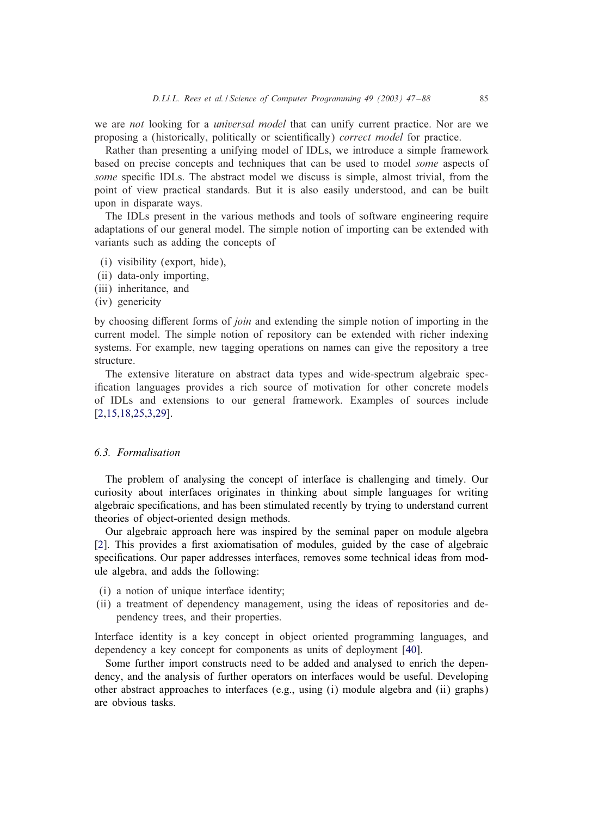we are *not* looking for a *universal model* that can unify current practice. Nor are we proposing a (historically, politically or scientifically) *correct model* for practice.

Rather than presenting a unifying model of IDLs, we introduce a simple framework based on precise concepts and techniques that can be used to model *some* aspects of *some* specific IDLs. The abstract model we discuss is simple, almost trivial, from the point of view practical standards. But it is also easily understood, and can be built upon in disparate ways.

The IDLs present in the various methods and tools of software engineering require adaptations of our general model. The simple notion of importing can be extended with variants such as adding the concepts of

- (i) visibility (export, hide),
- (ii) data-only importing,
- (iii) inheritance, and
- (iv) genericity

by choosing different forms of *join* and extending the simple notion of importing in the current model. The simple notion of repository can be extended with richer indexing systems. For example, new tagging operations on names can give the repository a tree structure.

The extensive literature on abstract data types and wide-spectrum algebraic specification languages provides a rich source of motivation for other concrete models of IDLs and extensions to our general framework. Examples of sources include [\[2,15,18,](#page-40-0)[25,](#page-41-0)[3,](#page-40-0)[29\]](#page-41-0).

# *6.3. Formalisation*

The problem of analysing the concept of interface is challenging and timely. Our curiosity about interfaces originates in thinking about simple languages for writing algebraic specifications, and has been stimulated recently by trying to understand current theories of object-oriented design methods.

Our algebraic approach here was inspired by the seminal paper on module algebra [\[2\]](#page-40-0). This provides a first axiomatisation of modules, guided by the case of algebraic specifications. Our paper addresses interfaces, removes some technical ideas from module algebra, and adds the following:

- (i) a notion of unique interface identity;
- (ii) a treatment of dependency management, using the ideas of repositories and dependency trees, and their properties.

Interface identity is a key concept in object oriented programming languages, and dependency a key concept for components as units of deployment [\[40\]](#page-41-0).

Some further import constructs need to be added and analysed to enrich the dependency, and the analysis of further operators on interfaces would be useful. Developing other abstract approaches to interfaces (e.g., using (i) module algebra and (ii) graphs) are obvious tasks.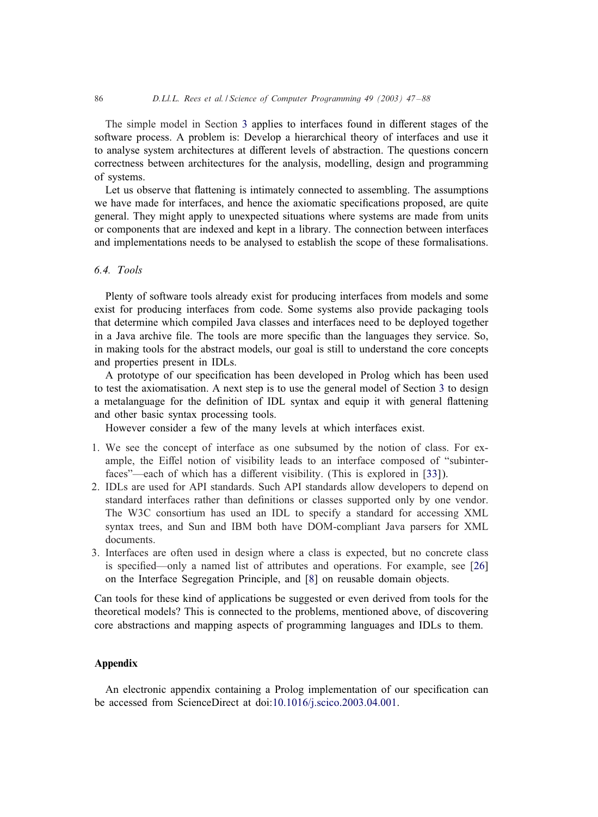The simple model in Section [3](#page-8-0) applies to interfaces found in different stages of the software process. A problem is: Develop a hierarchical theory of interfaces and use it to analyse system architectures at different levels of abstraction. The questions concern correctness between architectures for the analysis, modelling, design and programming of systems.

Let us observe that flattening is intimately connected to assembling. The assumptions we have made for interfaces, and hence the axiomatic specifications proposed, are quite general. They might apply to unexpected situations where systems are made from units or components that are indexed and kept in a library. The connection between interfaces and implementations needs to be analysed to establish the scope of these formalisations.

# *6.4. Tools*

Plenty of software tools already exist for producing interfaces from models and some exist for producing interfaces from code. Some systems also provide packaging tools that determine which compiled Java classes and interfaces need to be deployed together in a Java archive file. The tools are more specific than the languages they service. So, in making tools for the abstract models, our goal is still to understand the core concepts and properties present in IDLs.

A prototype of our specification has been developed in Prolog which has been used to test the axiomatisation. A next step is to use the general model of Section [3](#page-8-0) to design a metalanguage for the definition of IDL syntax and equip it with general flattening and other basic syntax processing tools.

However consider a few of the many levels at which interfaces exist.

- 1. We see the concept of interface as one subsumed by the notion of class. For example, the Eiffel notion of visibility leads to an interface composed of "subinterfaces"—each of which has a different visibility. (This is explored in  $[33]$ ).
- 2. IDLs are used for API standards. Such API standards allow developers to depend on standard interfaces rather than definitions or classes supported only by one vendor. The W3C consortium has used an IDL to specify a standard for accessing XML syntax trees, and Sun and IBM both have DOM-compliant Java parsers for XML documents.
- 3. Interfaces are often used in design where a class is expected, but no concrete class is specified—only a named list of attributes and operations. For example, see [\[26\]](#page-41-0) on the Interface Segregation Principle, and [\[8\]](#page-40-0) on reusable domain objects.

Can tools for these kind of applications be suggested or even derived from tools for the theoretical models? This is connected to the problems, mentioned above, of discovering core abstractions and mapping aspects of programming languages and IDLs to them.

# Appendix

An electronic appendix containing a Prolog implementation of our specification can be accessed from ScienceDirect at doi[:10.1016/j.scico.2003.04.001.](http://10.1016/j.scico.2003.04.001)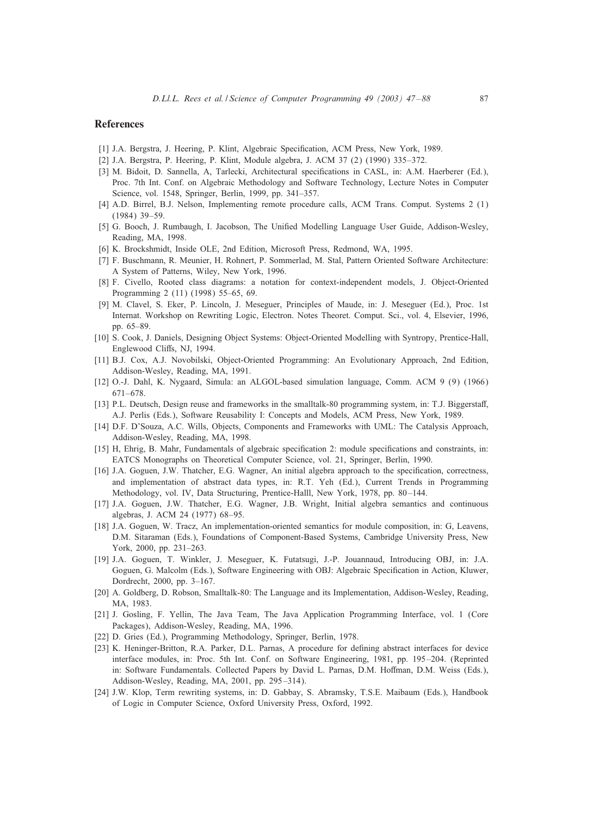### <span id="page-40-0"></span>References

- [1] J.A. Bergstra, J. Heering, P. Klint, Algebraic Specification, ACM Press, New York, 1989.
- [2] J.A. Bergstra, P. Heering, P. Klint, Module algebra, J. ACM 37 (2) (1990) 335–372.
- [3] M. Bidoit, D. Sannella, A, Tarlecki, Architectural specifications in CASL, in: A.M. Haerberer (Ed.), Proc. 7th Int. Conf. on Algebraic Methodology and Software Technology, Lecture Notes in Computer Science, vol. 1548, Springer, Berlin, 1999, pp. 341–357.
- [4] A.D. Birrel, B.J. Nelson, Implementing remote procedure calls, ACM Trans. Comput. Systems 2 (1) (1984) 39–59.
- [5] G. Booch, J. Rumbaugh, I. Jacobson, The Unified Modelling Language User Guide, Addison-Wesley, Reading, MA, 1998.
- [6] K. Brockshmidt, Inside OLE, 2nd Edition, Microsoft Press, Redmond, WA, 1995.
- [7] F. Buschmann, R. Meunier, H. Rohnert, P. Sommerlad, M. Stal, Pattern Oriented Software Architecture: A System of Patterns, Wiley, New York, 1996.
- [8] F. Civello, Rooted class diagrams: a notation for context-independent models, J. Object-Oriented Programming 2 (11) (1998) 55–65, 69.
- [9] M. Clavel, S. Eker, P. Lincoln, J. Meseguer, Principles of Maude, in: J. Meseguer (Ed.), Proc. 1st Internat. Workshop on Rewriting Logic, Electron. Notes Theoret. Comput. Sci., vol. 4, Elsevier, 1996, pp. 65–89.
- [10] S. Cook, J. Daniels, Designing Object Systems: Object-Oriented Modelling with Syntropy, Prentice-Hall, Englewood Cliffs, NJ, 1994.
- [11] B.J. Cox, A.J. Novobilski, Object-Oriented Programming: An Evolutionary Approach, 2nd Edition, Addison-Wesley, Reading, MA, 1991.
- [12] O.-J. Dahl, K. Nygaard, Simula: an ALGOL-based simulation language, Comm. ACM 9 (9) (1966) 671–678.
- [13] P.L. Deutsch, Design reuse and frameworks in the smalltalk-80 programming system, in: T.J. Biggerstaff, A.J. Perlis (Eds.), Software Reusability I: Concepts and Models, ACM Press, New York, 1989.
- [14] D.F. D'Souza, A.C. Wills, Objects, Components and Frameworks with UML: The Catalysis Approach, Addison-Wesley, Reading, MA, 1998.
- [15] H, Ehrig, B. Mahr, Fundamentals of algebraic specification 2: module specifications and constraints, in: EATCS Monographs on Theoretical Computer Science, vol. 21, Springer, Berlin, 1990.
- [16] J.A. Goguen, J.W. Thatcher, E.G. Wagner, An initial algebra approach to the specification, correctness, and implementation of abstract data types, in: R.T. Yeh (Ed.), Current Trends in Programming Methodology, vol. IV, Data Structuring, Prentice-Halll, New York, 1978, pp. 80-144.
- [17] J.A. Goguen, J.W. Thatcher, E.G. Wagner, J.B. Wright, Initial algebra semantics and continuous algebras, J. ACM 24 (1977) 68–95.
- [18] J.A. Goguen, W. Tracz, An implementation-oriented semantics for module composition, in: G, Leavens, D.M. Sitaraman (Eds.), Foundations of Component-Based Systems, Cambridge University Press, New York, 2000, pp. 231–263.
- [19] J.A. Goguen, T. Winkler, J. Meseguer, K. Futatsugi, J.-P. Jouannaud, Introducing OBJ, in: J.A. Goguen, G. Malcolm (Eds.), Software Engineering with OBJ: Algebraic Specification in Action, Kluwer, Dordrecht, 2000, pp. 3–167.
- [20] A. Goldberg, D. Robson, Smalltalk-80: The Language and its Implementation, Addison-Wesley, Reading, MA, 1983.
- [21] J. Gosling, F. Yellin, The Java Team, The Java Application Programming Interface, vol. 1 (Core Packages), Addison-Wesley, Reading, MA, 1996.
- [22] D. Gries (Ed.), Programming Methodology, Springer, Berlin, 1978.
- [23] K. Heninger-Britton, R.A. Parker, D.L. Parnas, A procedure for defining abstract interfaces for device interface modules, in: Proc. 5th Int. Conf. on Software Engineering, 1981, pp. 195–204. (Reprinted in: Software Fundamentals. Collected Papers by David L. Parnas, D.M. Hoffman, D.M. Weiss (Eds.), Addison-Wesley, Reading, MA, 2001, pp. 295 –314).
- [24] J.W. Klop, Term rewriting systems, in: D. Gabbay, S. Abramsky, T.S.E. Maibaum (Eds.), Handbook of Logic in Computer Science, Oxford University Press, Oxford, 1992.